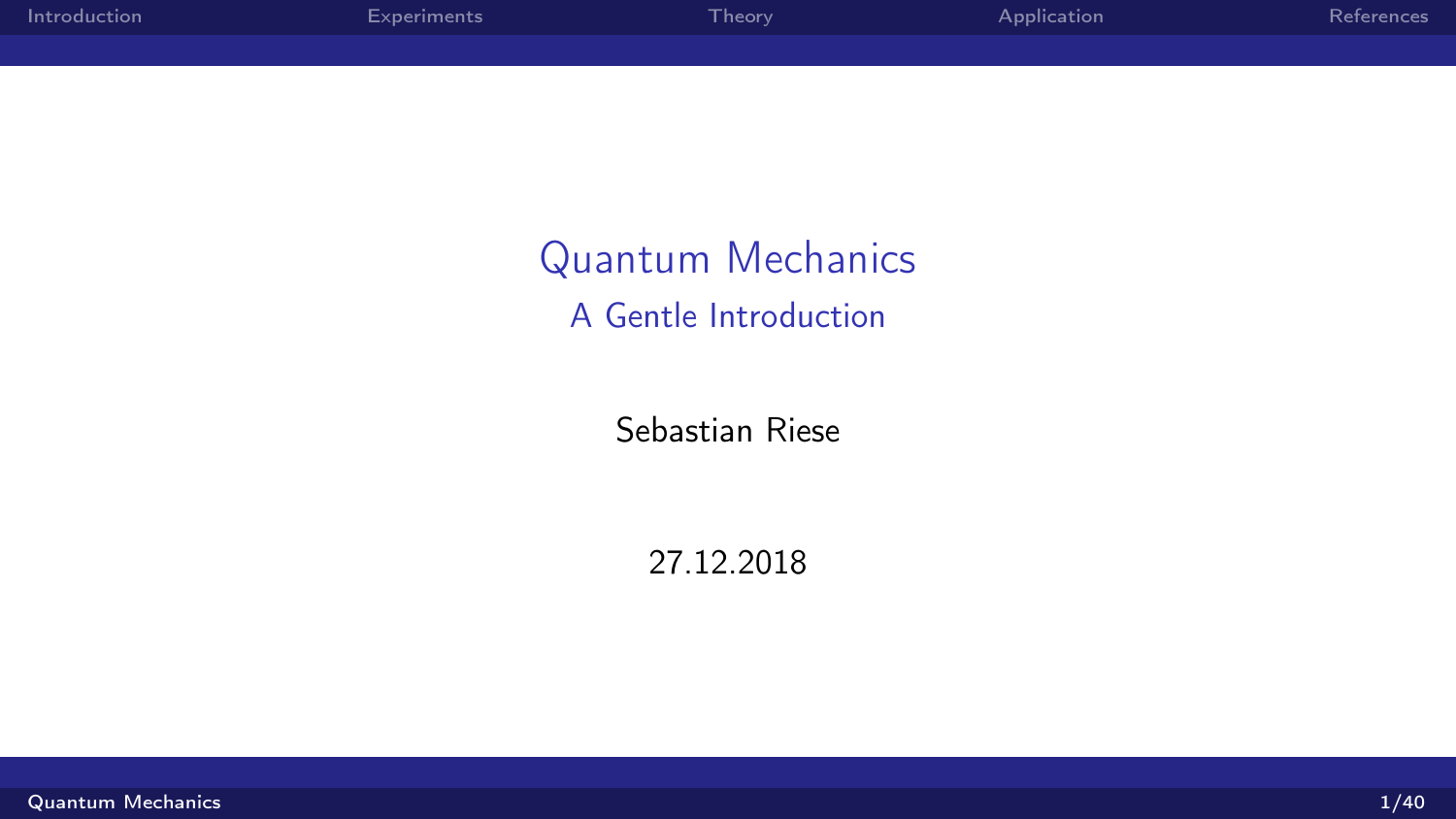<span id="page-0-0"></span>

| Introduction | Experiments | Theory | Application | <b>References</b> |
|--------------|-------------|--------|-------------|-------------------|
|              |             |        |             |                   |

Quantum Mechanics A Gentle Introduction

Sebastian Riese

27.12.2018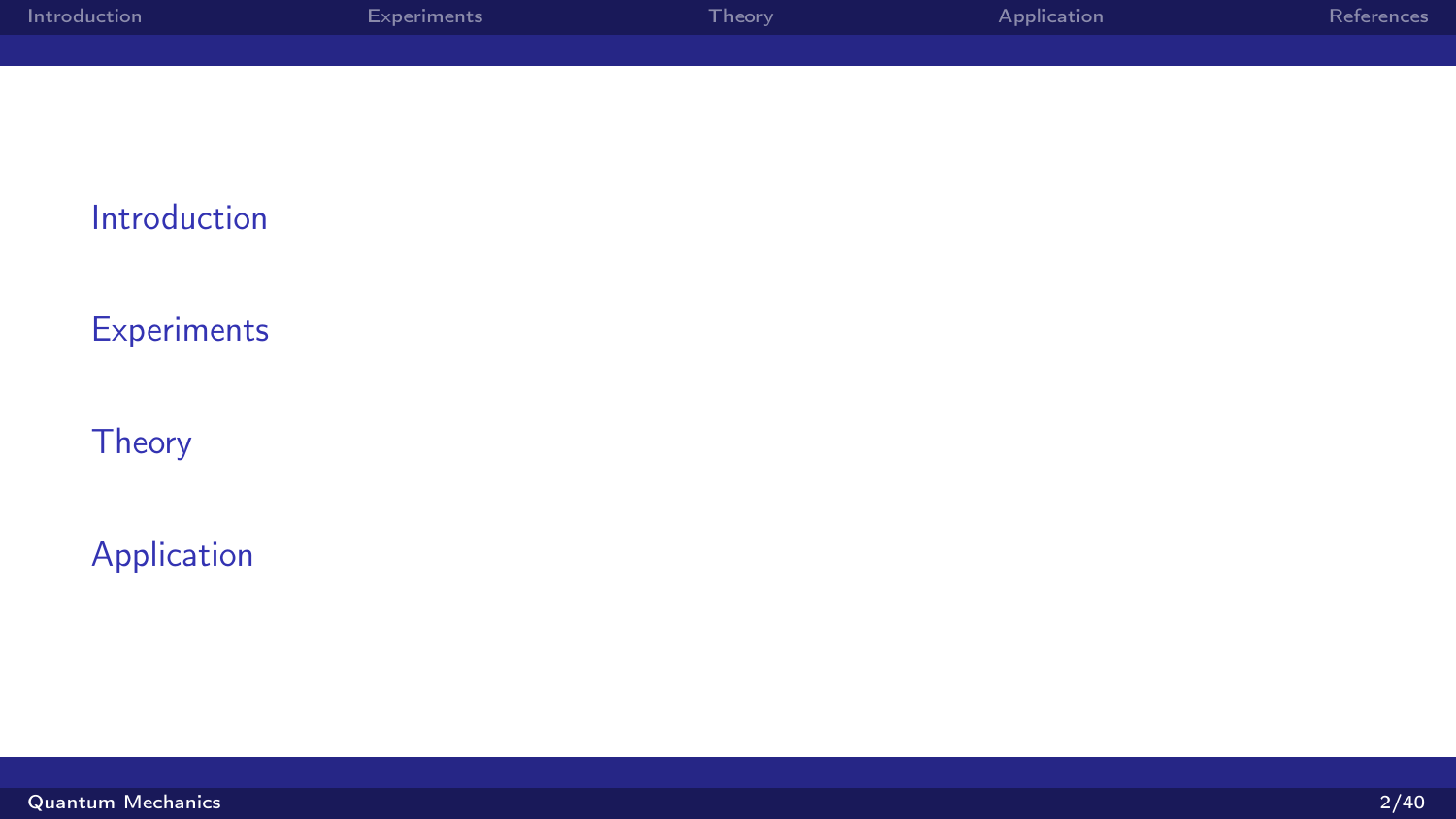| Introduction | Experiments | Theory | Application | References |
|--------------|-------------|--------|-------------|------------|
|              |             |        |             |            |

[Introduction](#page-2-0)

**[Experiments](#page-4-0)** 

**[Theory](#page-12-0)** 

[Application](#page-32-0)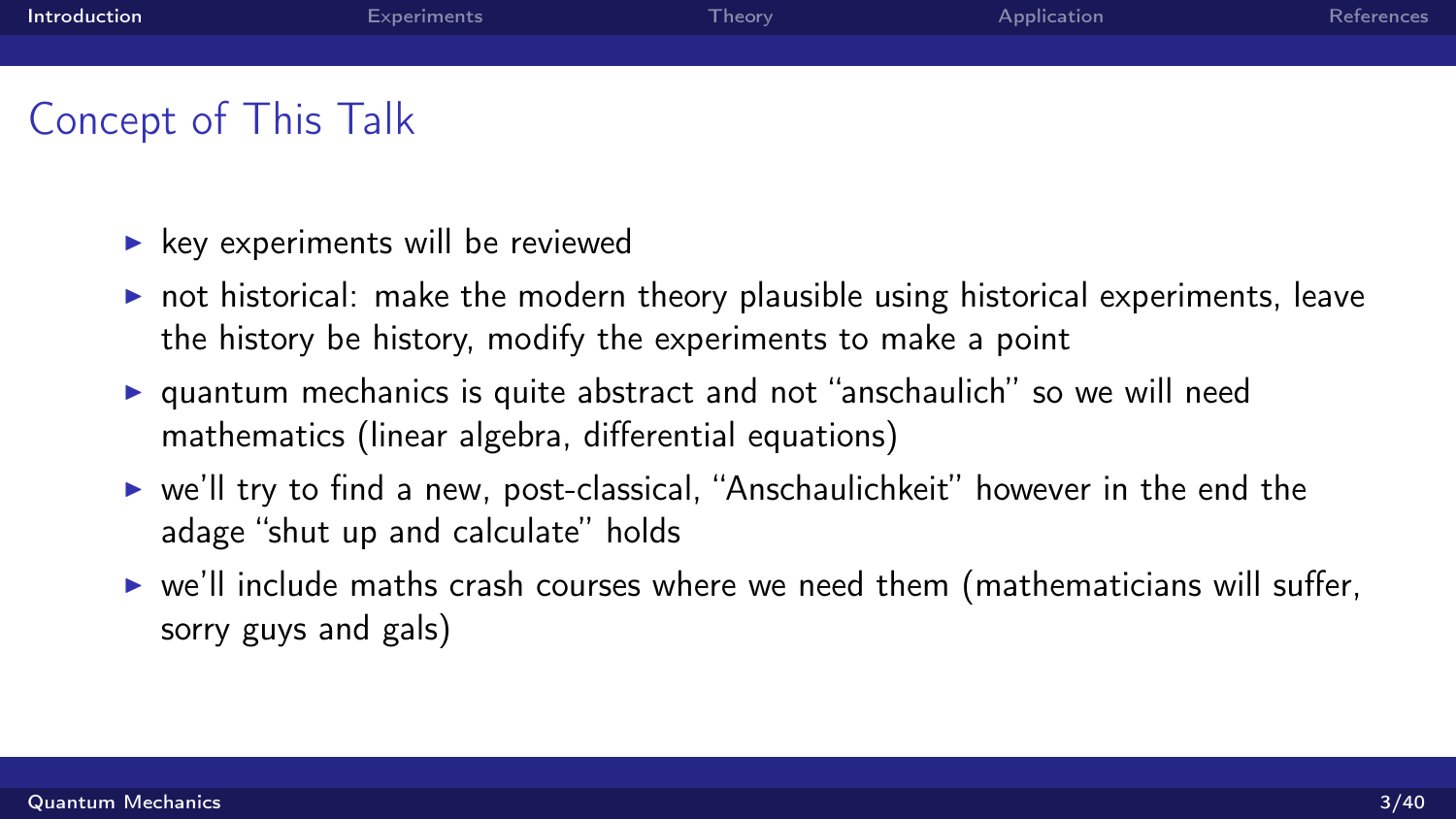<span id="page-2-0"></span>

| Introduction | Experiments | Theory <sup>1</sup> | Application | References |
|--------------|-------------|---------------------|-------------|------------|
|              |             |                     |             |            |
|              |             |                     |             |            |

# Concept of This Talk

- $\blacktriangleright$  key experiments will be reviewed
- $\triangleright$  not historical: make the modern theory plausible using historical experiments, leave the history be history, modify the experiments to make a point
- $\triangleright$  quantum mechanics is quite abstract and not "anschaulich" so we will need mathematics (linear algebra, differential equations)
- $\triangleright$  we'll try to find a new, post-classical, "Anschaulichkeit" however in the end the adage "shut up and calculate" holds
- $\triangleright$  we'll include maths crash courses where we need them (mathematicians will suffer, sorry guys and gals)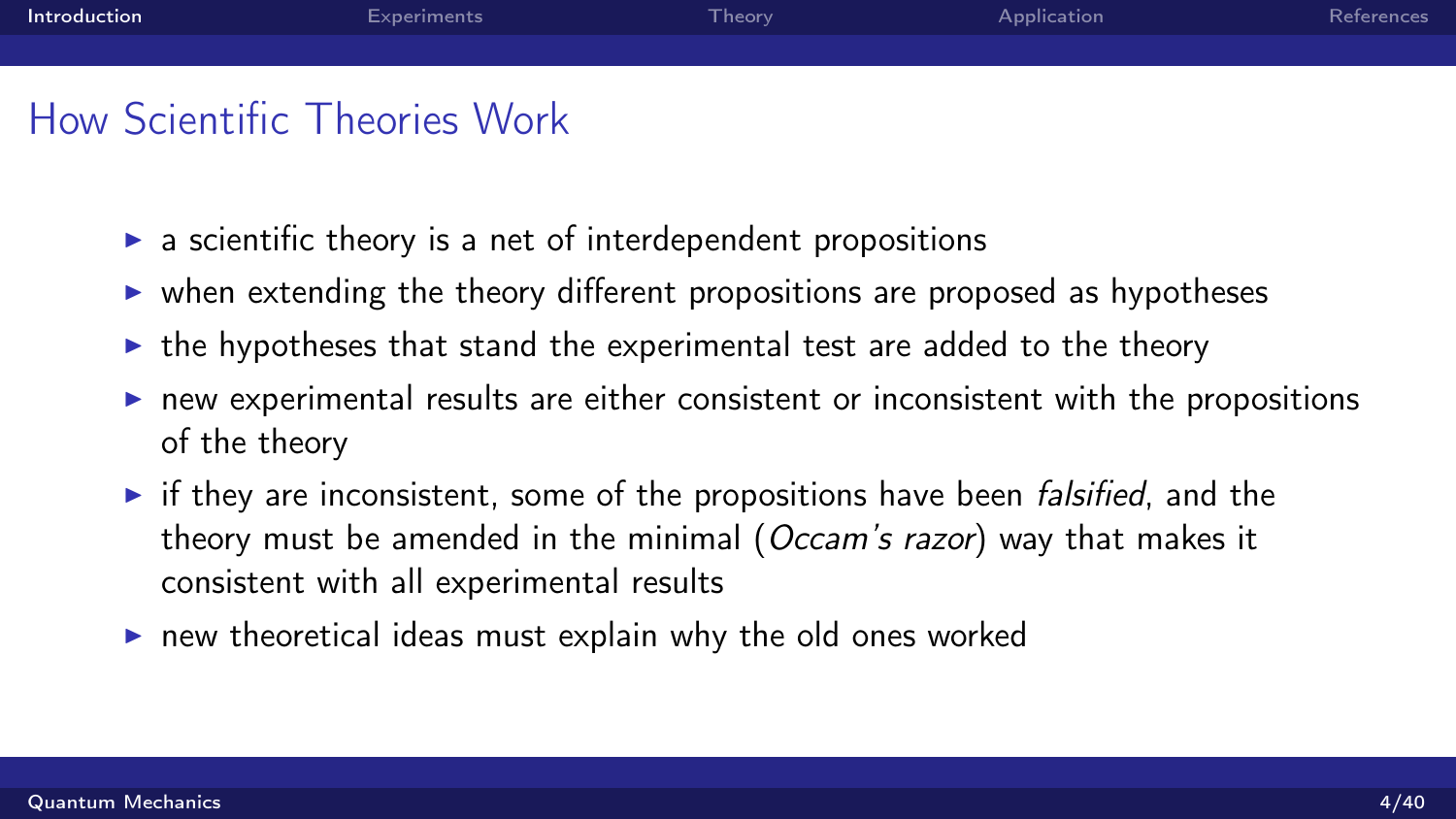# How Scientific Theories Work

- $\triangleright$  a scientific theory is a net of interdependent propositions
- $\triangleright$  when extending the theory different propositions are proposed as hypotheses
- $\triangleright$  the hypotheses that stand the experimental test are added to the theory
- $\triangleright$  new experimental results are either consistent or inconsistent with the propositions of the theory
- $\triangleright$  if they are inconsistent, some of the propositions have been *falsified*, and the theory must be amended in the minimal (Occam's razor) way that makes it consistent with all experimental results
- $\blacktriangleright$  new theoretical ideas must explain why the old ones worked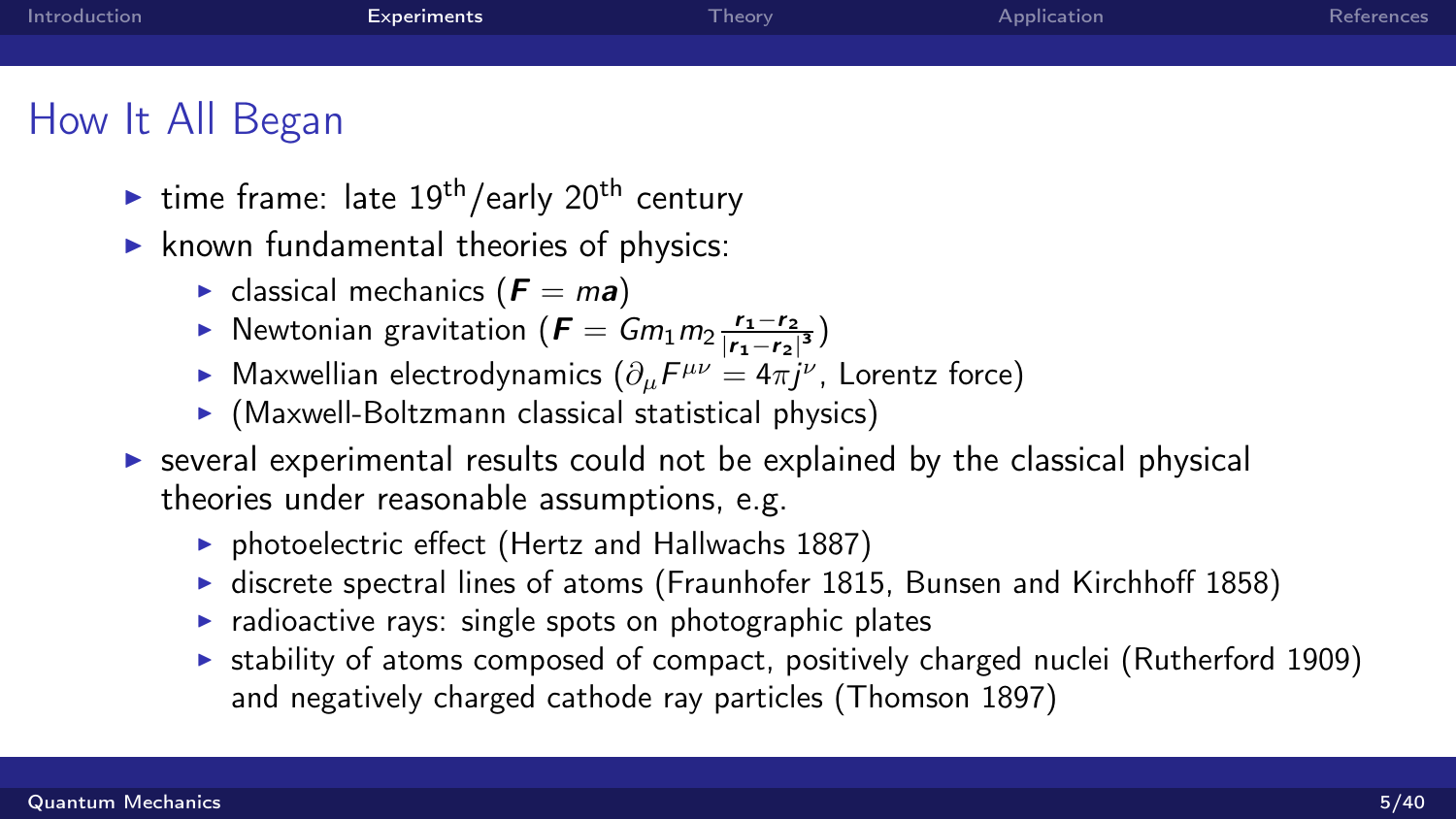<span id="page-4-0"></span>

| Introduction     | <b>Experiments</b>                           | Theorv | Application | References |
|------------------|----------------------------------------------|--------|-------------|------------|
|                  |                                              |        |             |            |
| How It All Began |                                              |        |             |            |
|                  | ime frame: late $19th$ /early $20th$ century |        |             |            |

- $\blacktriangleright$  known fundamental theories of physics:
	- $\blacktriangleright$  classical mechanics ( $\boldsymbol{F} = m\boldsymbol{a}$ )
	- ► Newtonian gravitation ( $\boldsymbol{F} = Gm_1m_2\frac{r_1-r_2}{|r_1-r_2|}$  $\frac{r_1-r_2}{|r_1-r_2|^3}$
	- ► Maxwellian electrodynamics  $(\partial_{\mu}F^{\mu\nu}=4\pi j^{\nu}$ , Lorentz force)
	- $\triangleright$  (Maxwell-Boltzmann classical statistical physics)
- $\triangleright$  several experimental results could not be explained by the classical physical theories under reasonable assumptions, e.g.
	- $\triangleright$  photoelectric effect (Hertz and Hallwachs 1887)
	- $\blacktriangleright$  discrete spectral lines of atoms (Fraunhofer 1815, Bunsen and Kirchhoff 1858)
	- $\triangleright$  radioactive rays: single spots on photographic plates
	- $\triangleright$  stability of atoms composed of compact, positively charged nuclei (Rutherford 1909) and negatively charged cathode ray particles (Thomson 1897)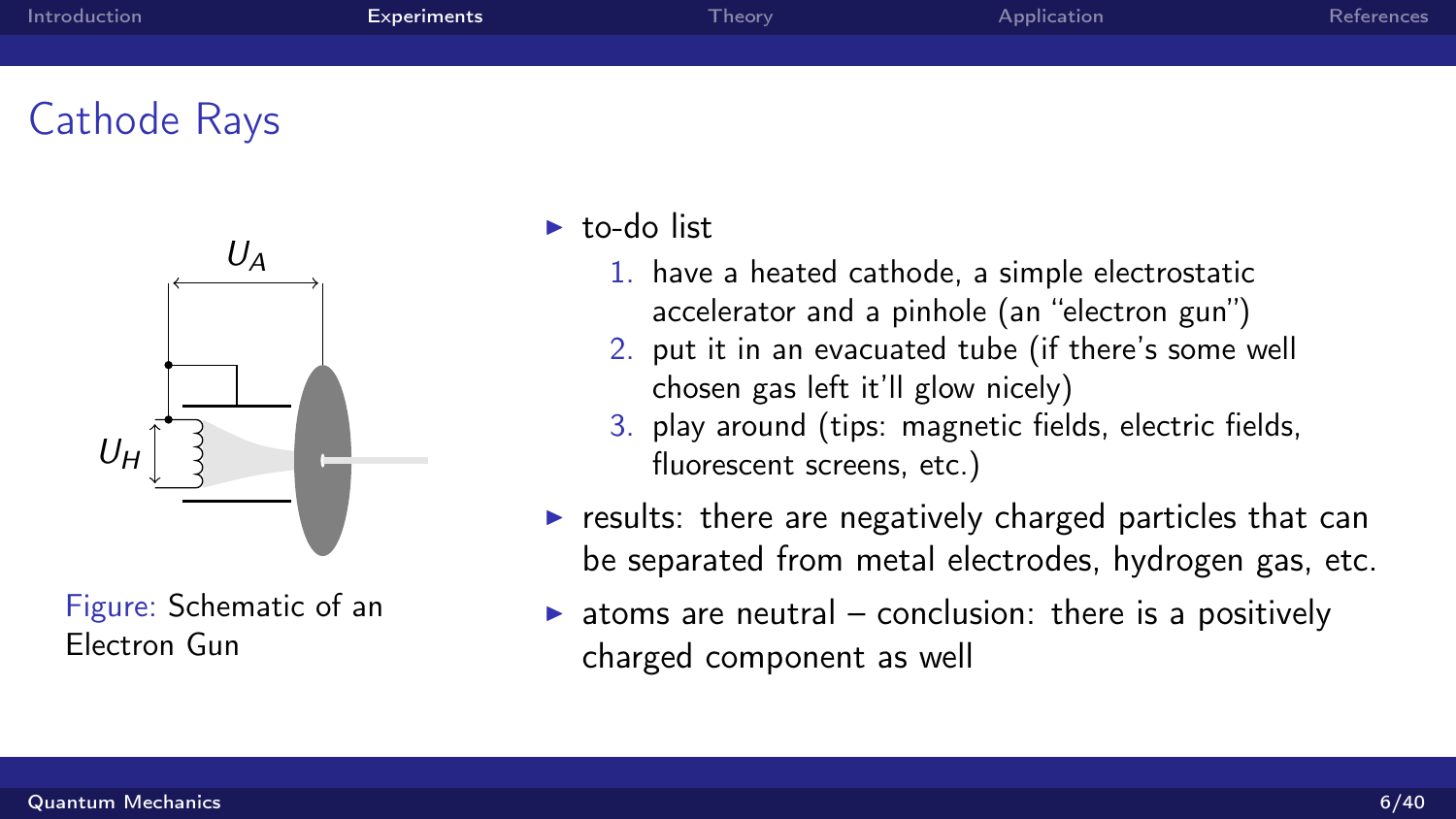| Introduction | Experiments | Theory <sup>1</sup> | Application | References |
|--------------|-------------|---------------------|-------------|------------|
|              |             |                     |             |            |
|              |             |                     |             |            |

# Cathode Rays



Figure: Schematic of an Electron Gun

- $\blacktriangleright$  to-do list
	- 1. have a heated cathode, a simple electrostatic accelerator and a pinhole (an "electron gun")
	- 2. put it in an evacuated tube (if there's some well chosen gas left it'll glow nicely)
	- 3. play around (tips: magnetic fields, electric fields, fluorescent screens, etc.)
- $\triangleright$  results: there are negatively charged particles that can be separated from metal electrodes, hydrogen gas, etc.
- $\triangleright$  atoms are neutral conclusion: there is a positively charged component as well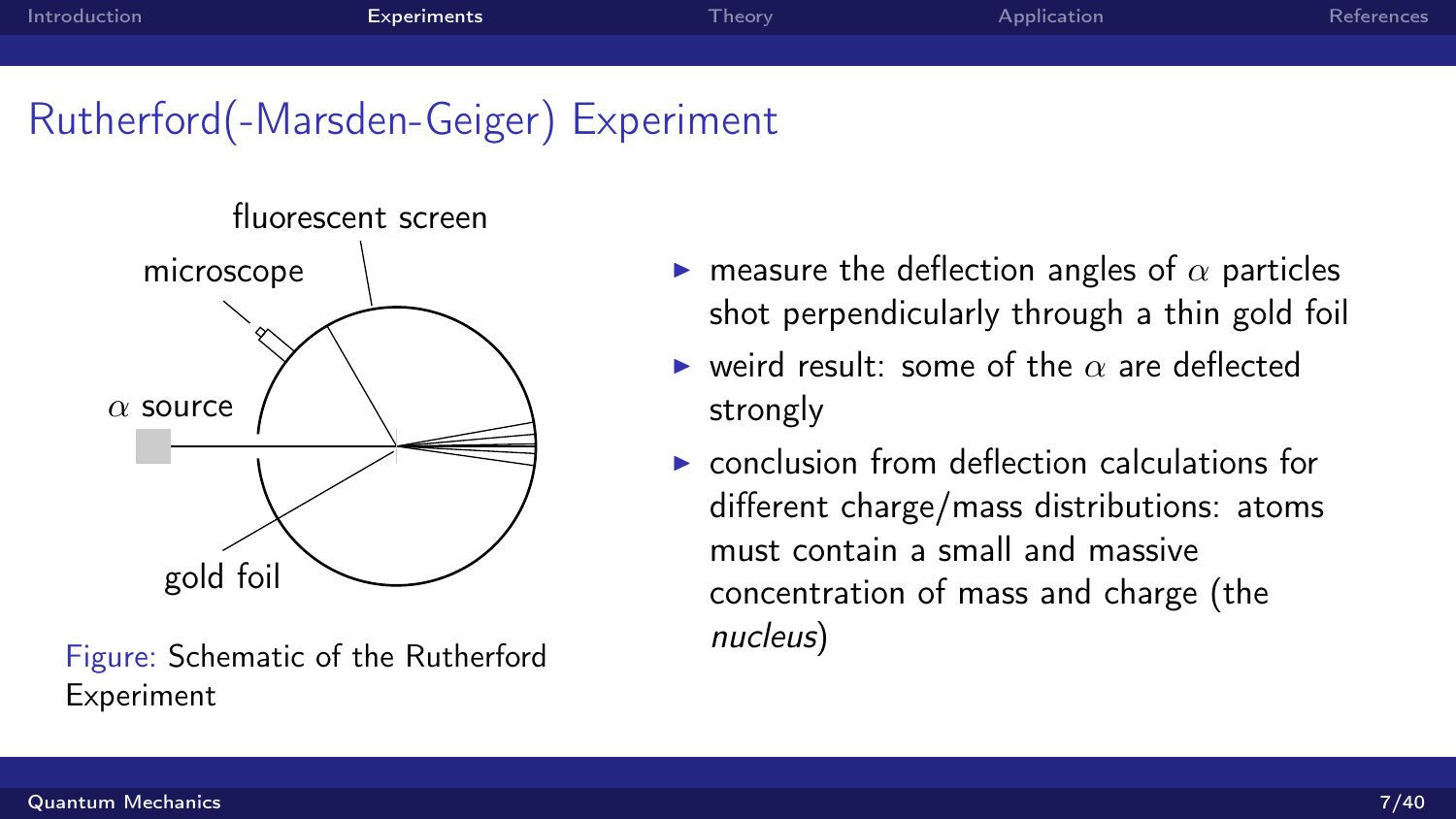# Rutherford(-Marsden-Geiger) Experiment



Figure: Schematic of the Rutherford Experiment

- **In** measure the deflection angles of  $\alpha$  particles shot perpendicularly through a thin gold foil
- $\triangleright$  weird result: some of the  $\alpha$  are deflected strongly
- $\triangleright$  conclusion from deflection calculations for different charge/mass distributions: atoms must contain a small and massive concentration of mass and charge (the nucleus)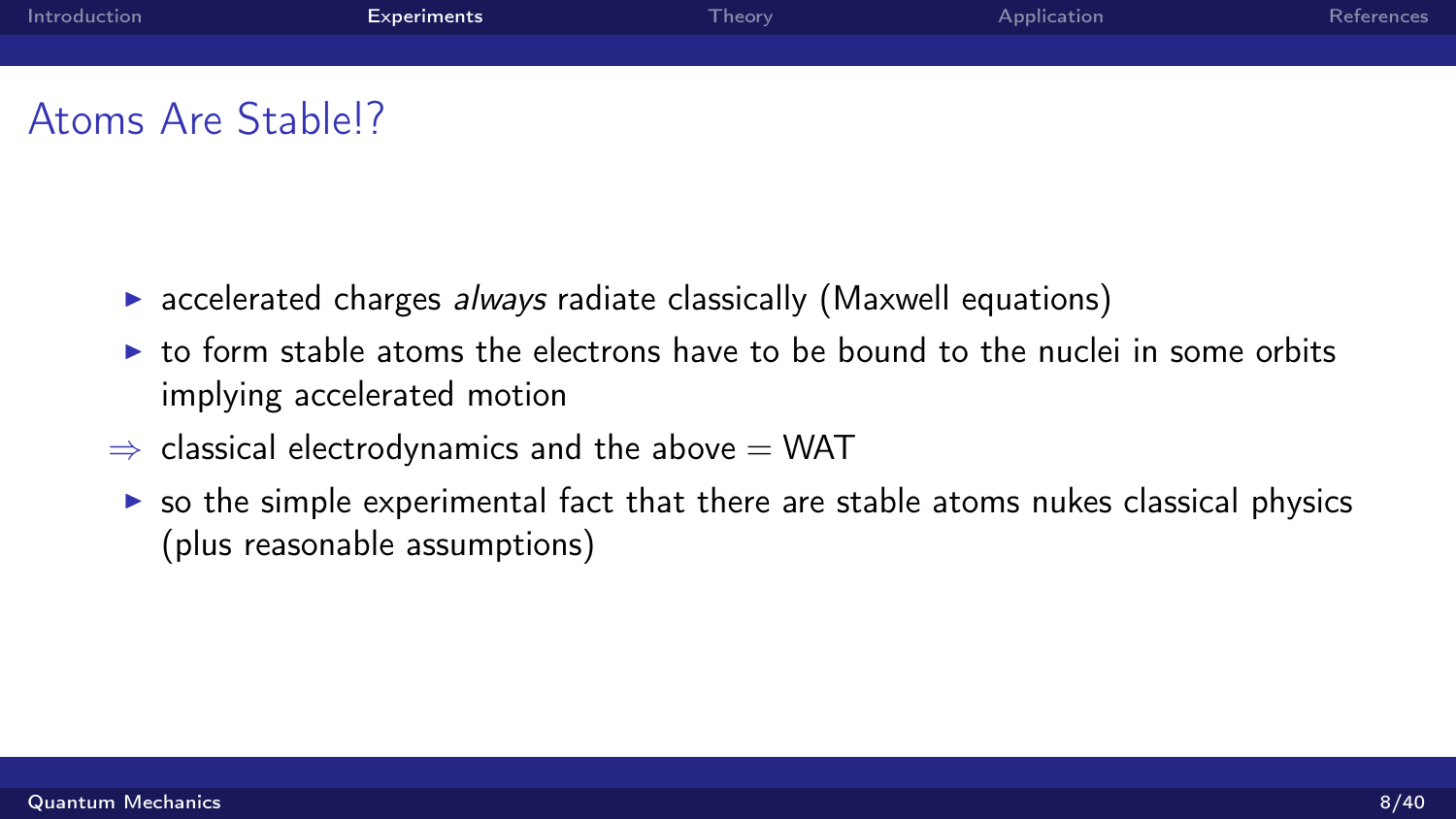| Introduction | <b>Experiments</b> | Theory <sup>1</sup> | Application | References |
|--------------|--------------------|---------------------|-------------|------------|
|              |                    |                     |             |            |
|              |                    |                     |             |            |

## Atoms Are Stable!?

- $\triangleright$  accelerated charges *always* radiate classically (Maxwell equations)
- $\triangleright$  to form stable atoms the electrons have to be bound to the nuclei in some orbits implying accelerated motion
- $\Rightarrow$  classical electrodynamics and the above  $=$  WAT
- $\triangleright$  so the simple experimental fact that there are stable atoms nukes classical physics (plus reasonable assumptions)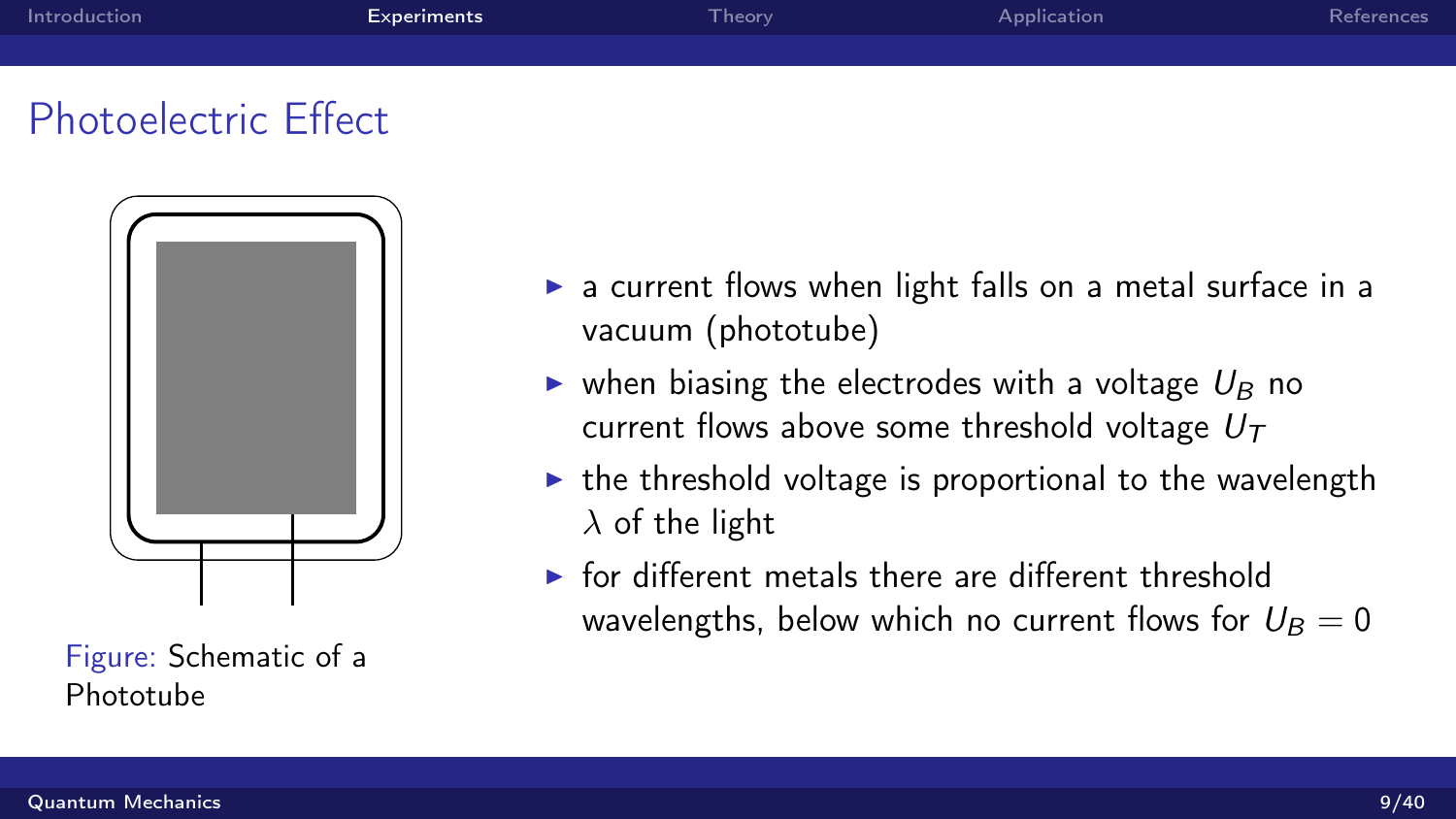# Photoelectric Effect



Figure: Schematic of a Phototube

- $\triangleright$  a current flows when light falls on a metal surface in a vacuum (phototube)
- ighthrow when biasing the electrodes with a voltage  $U_B$  no current flows above some threshold voltage  $U<sub>T</sub>$
- $\triangleright$  the threshold voltage is proportional to the wavelength  $\lambda$  of the light
- $\triangleright$  for different metals there are different threshold wavelengths, below which no current flows for  $U_B = 0$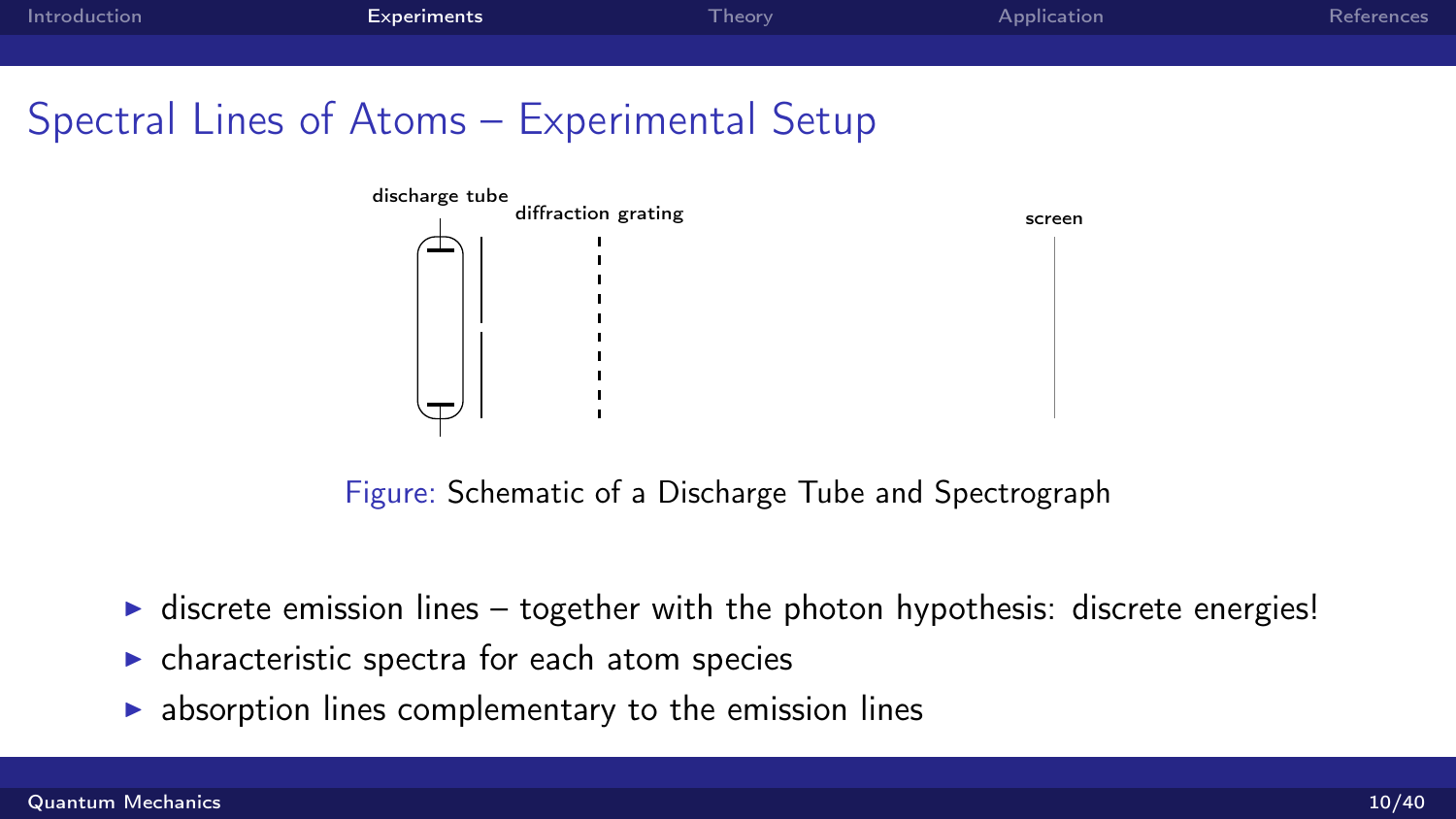Spectral Lines of Atoms – Experimental Setup



Figure: Schematic of a Discharge Tube and Spectrograph

- $\triangleright$  discrete emission lines together with the photon hypothesis: discrete energies!
- $\triangleright$  characteristic spectra for each atom species
- $\triangleright$  absorption lines complementary to the emission lines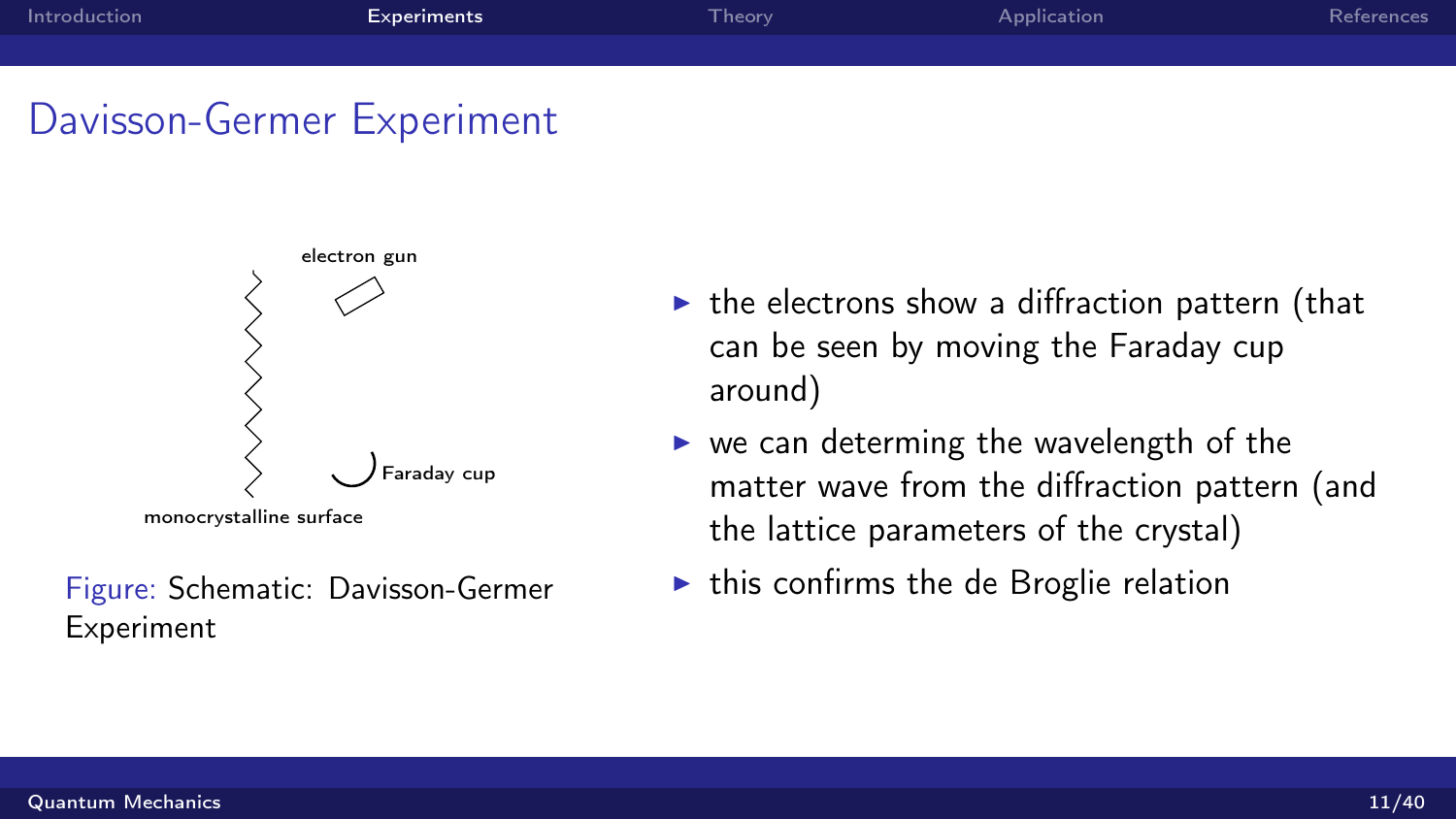## Davisson-Germer Experiment



Figure: Schematic: Davisson-Germer Experiment

- $\triangleright$  the electrons show a diffraction pattern (that can be seen by moving the Faraday cup around)
- $\triangleright$  we can determing the wavelength of the matter wave from the diffraction pattern (and the lattice parameters of the crystal)
- $\triangleright$  this confirms the de Broglie relation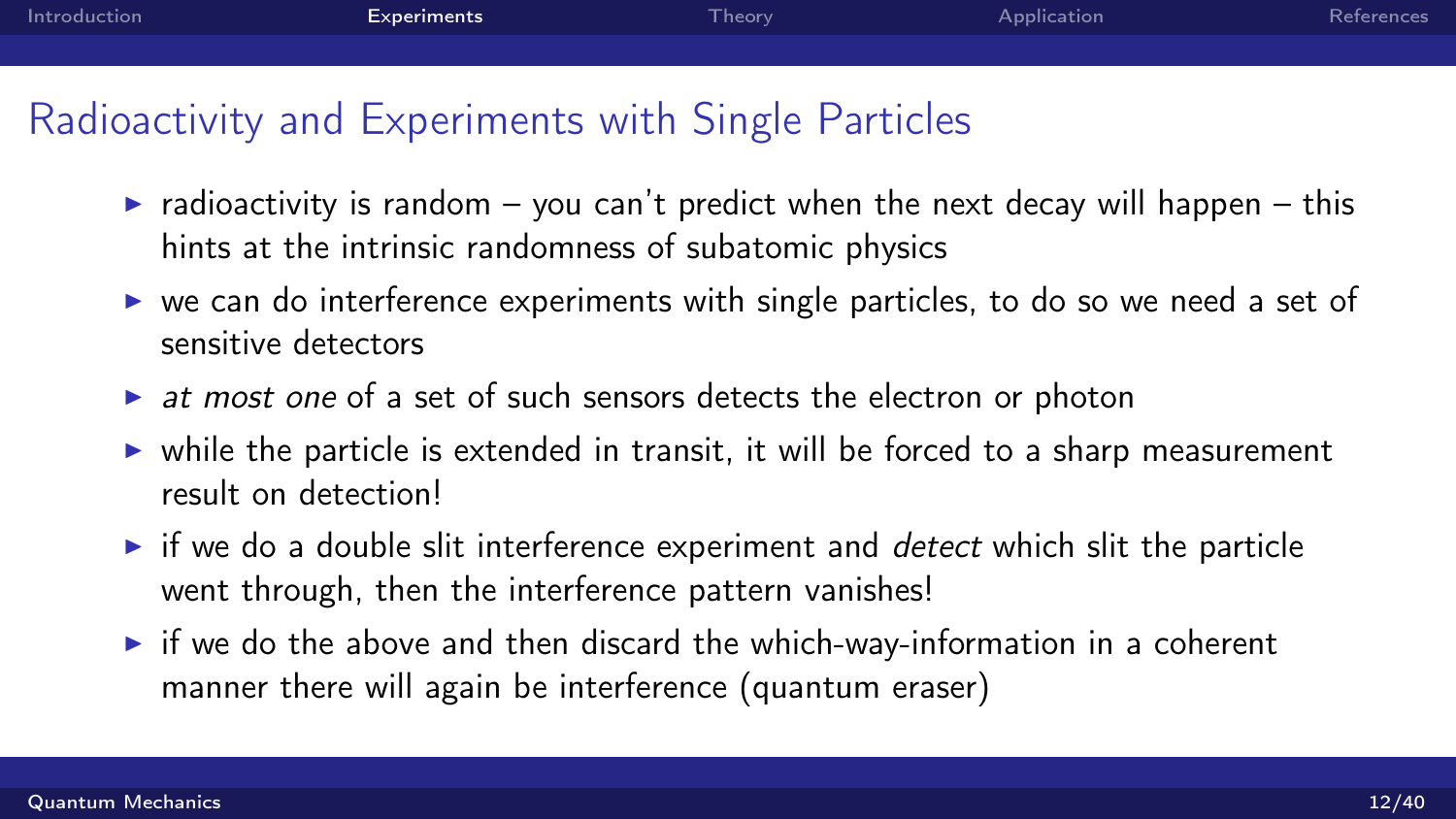# Radioactivity and Experiments with Single Particles

- $\triangleright$  radioactivity is random you can't predict when the next decay will happen this hints at the intrinsic randomness of subatomic physics
- $\triangleright$  we can do interference experiments with single particles, to do so we need a set of sensitive detectors
- $\triangleright$  at most one of a set of such sensors detects the electron or photon
- $\triangleright$  while the particle is extended in transit, it will be forced to a sharp measurement result on detection!
- $\triangleright$  if we do a double slit interference experiment and *detect* which slit the particle went through, then the interference pattern vanishes!
- $\triangleright$  if we do the above and then discard the which-way-information in a coherent manner there will again be interference (quantum eraser)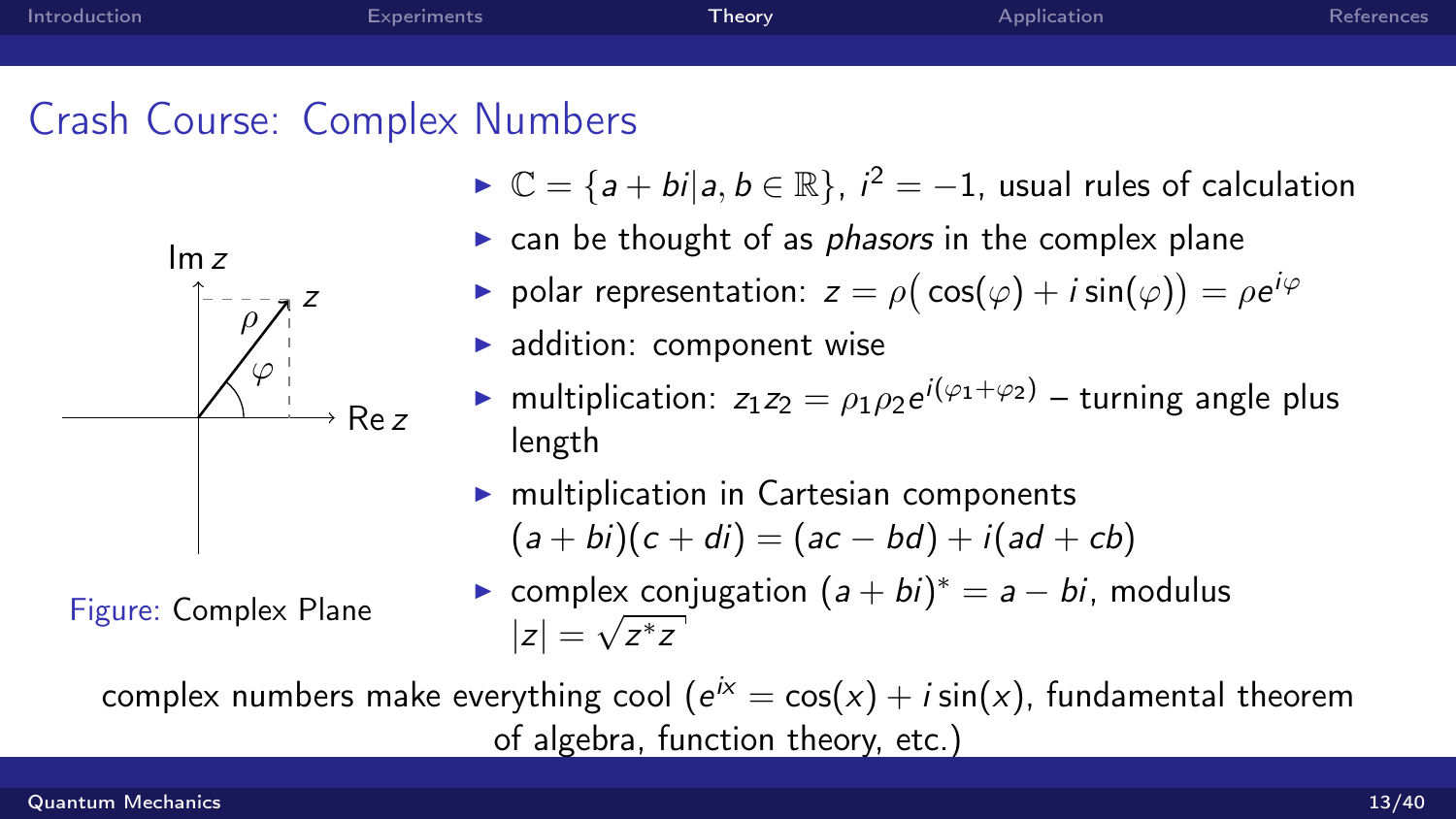<span id="page-12-0"></span>



Figure: Complex Plane

- $\triangleright \mathbb{C} = \{a + bi | a, b \in \mathbb{R}\}, i^2 = -1$ , usual rules of calculation
- $\triangleright$  can be thought of as *phasors* in the complex plane
- $\blacktriangleright$  polar representation:  $z = \rho(\cos(\varphi) + i \sin(\varphi)) = \rho e^{i\varphi}$
- $\blacktriangleright$  addition: component wise
- **In** multiplication:  $z_1 z_2 = \rho_1 \rho_2 e^{i(\varphi_1 + \varphi_2)}$  turning angle plus length
- $\blacktriangleright$  multiplication in Cartesian components  $(a + bi)(c + di) = (ac - bd) + i(ad + cb)$
- ► complex conjugation  $(a + bi)^* = a bi$ , modulus  $|z|=\sqrt{z^*z}$

complex numbers make everything cool ( $e^{i\chi} = \cos(x) + i \sin(x)$ , fundamental theorem of algebra, function theory, etc.)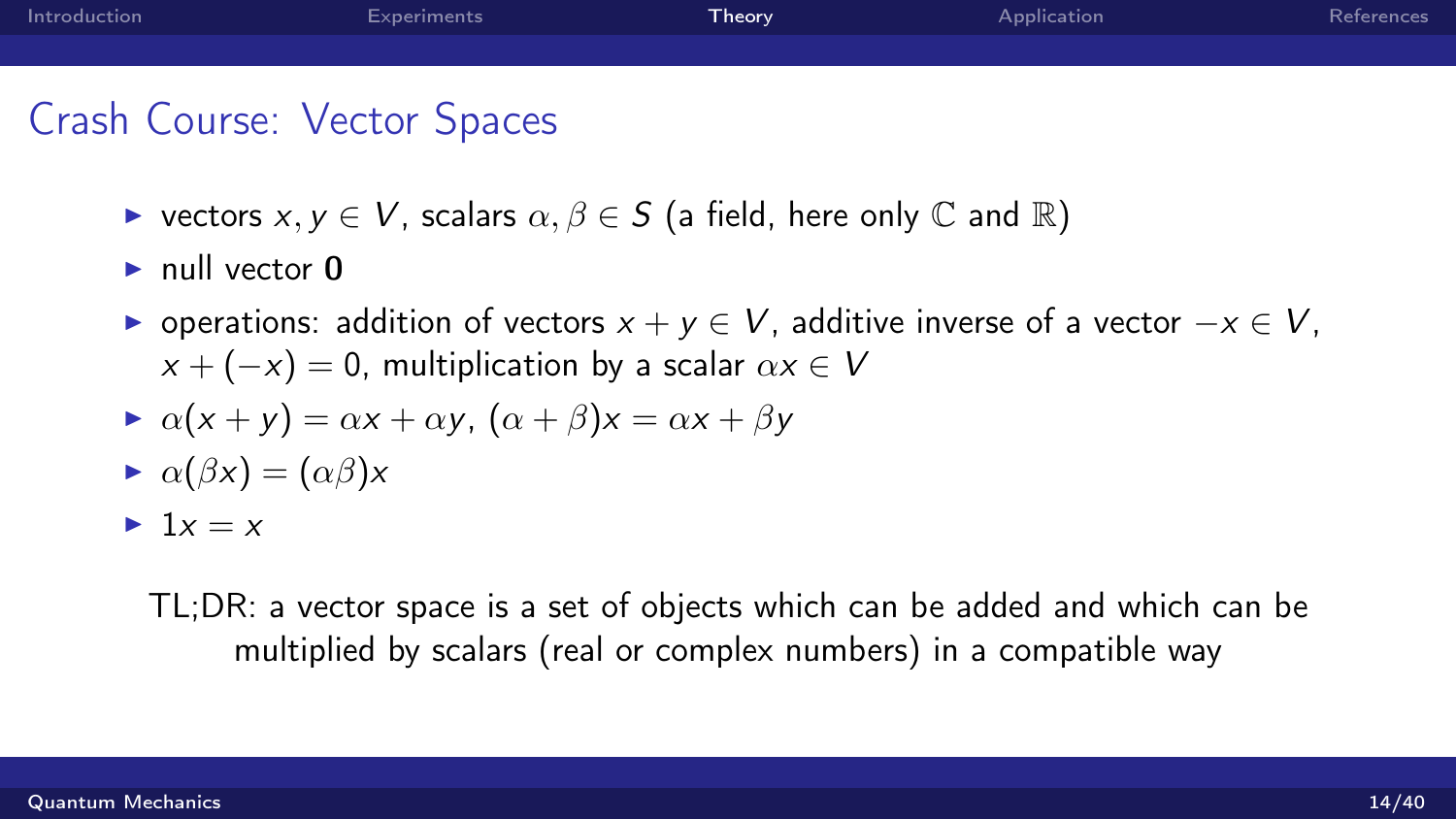| Introduction | Experiments | Theory <sup>1</sup> | Application | References |
|--------------|-------------|---------------------|-------------|------------|
|              |             |                     |             |            |
| ______       |             |                     |             |            |

# Crash Course: Vector Spaces

- riangleright vectors  $x, y \in V$ , scalars  $\alpha, \beta \in S$  (a field, here only  $\mathbb C$  and  $\mathbb R$ )
- $\blacktriangleright$  null vector  $\theta$
- $\triangleright$  operations: addition of vectors  $x + y \in V$ , additive inverse of a vector  $-x \in V$ ,  $x + (-x) = 0$ , multiplication by a scalar  $\alpha x \in V$
- $\alpha(x + y) = \alpha x + \alpha y$ ,  $(\alpha + \beta)x = \alpha x + \beta y$
- $\alpha(\beta x) = (\alpha \beta)x$
- $\blacktriangleright$  1x = x

TL;DR: a vector space is a set of objects which can be added and which can be multiplied by scalars (real or complex numbers) in a compatible way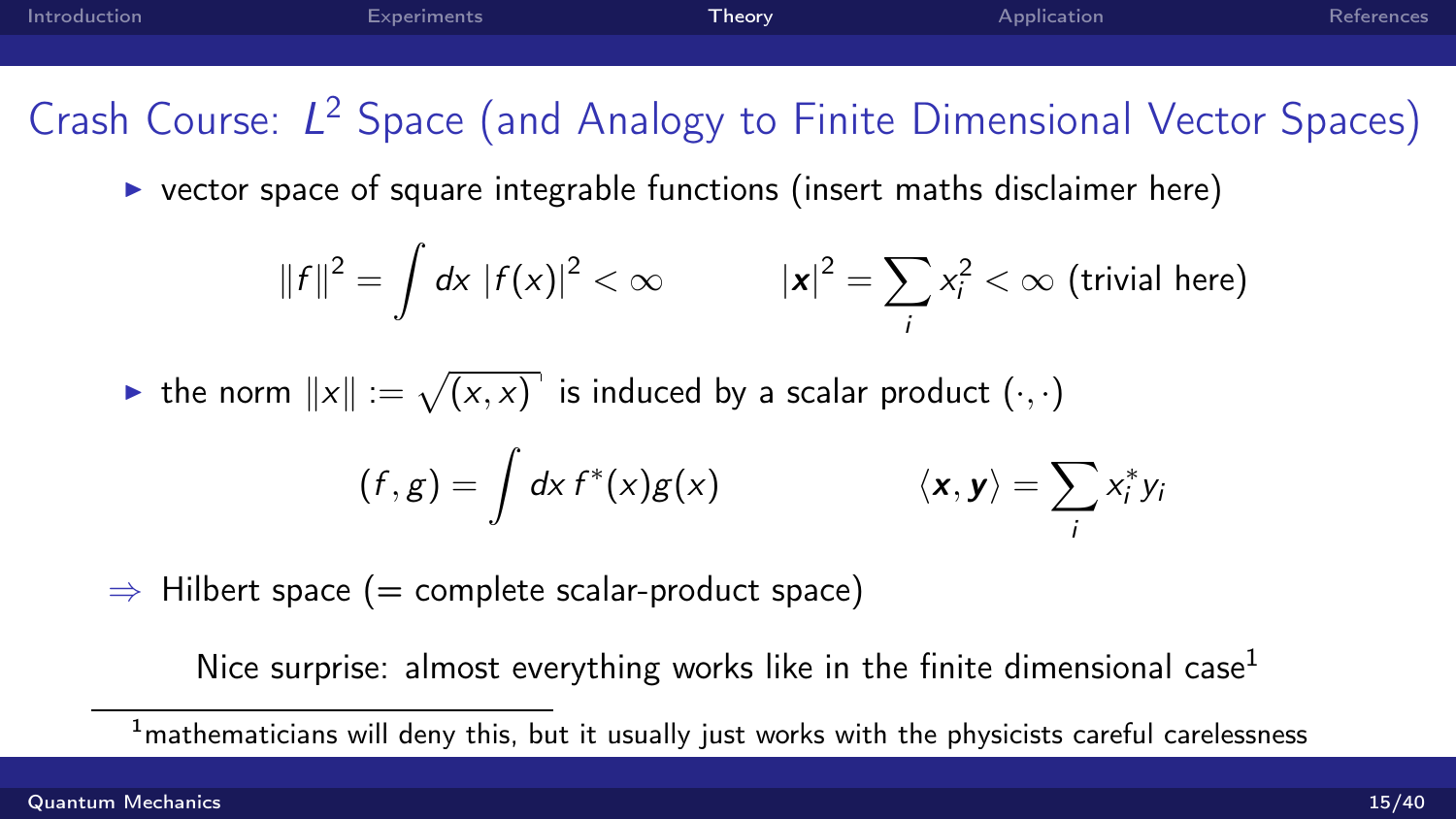[Introduction](#page-2-0) [Experiments](#page-4-0) [Theory](#page-12-0) [Application](#page-32-0) [References](#page-42-0) Crash Course: L<sup>2</sup> Space (and Analogy to Finite Dimensional Vector Spaces)  $\triangleright$  vector space of square integrable functions (insert maths disclaimer here)

$$
||f||^2 = \int dx |f(x)|^2 < \infty
$$
  $|x|^2 = \sum_i x_i^2 < \infty$  (trivial here)

 $\blacktriangleright$  the norm  $\|x\| := \sqrt{(x,x)}$  is induced by a scalar product  $(\cdot,\cdot)$ 

$$
(f,g) = \int dx f^*(x)g(x) \qquad \langle x, y \rangle = \sum_i x_i^* y_i
$$

 $\Rightarrow$  Hilbert space (= complete scalar-product space)

Nice surprise: almost everything works like in the finite dimensional case<sup>1</sup>

 $1$ mathematicians will deny this, but it usually just works with the physicists careful carelessness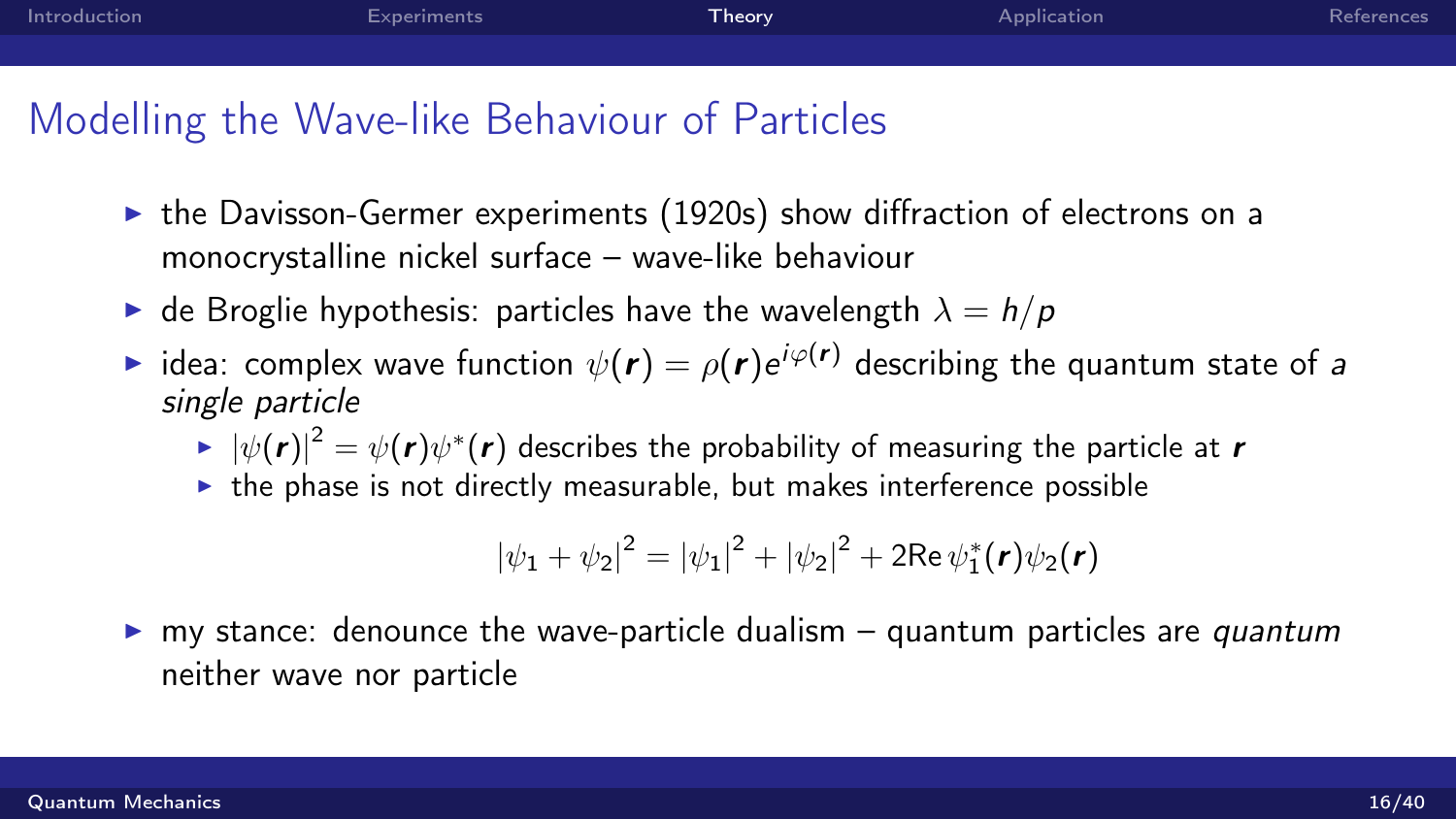| Introduction | <b>Experiments</b> | Theory | Application | References |
|--------------|--------------------|--------|-------------|------------|
|              |                    |        |             |            |

## Modelling the Wave-like Behaviour of Particles

- $\triangleright$  the Davisson-Germer experiments (1920s) show diffraction of electrons on a monocrystalline nickel surface – wave-like behaviour
- $\blacktriangleright$  de Broglie hypothesis: particles have the wavelength  $\lambda = h/p$
- $\blacktriangleright$  idea: complex wave function  $\psi(\bm{r})=\rho(\bm{r})e^{i\varphi(\bm{r})}$  describing the quantum state of a single particle
	- $\blacktriangleright\:\left|\psi(\pmb{r})\right|^2=\psi(\pmb{r})\psi^*(\pmb{r})$  describes the probability of measuring the particle at  $\pmb{r}$
	- $\triangleright$  the phase is not directly measurable, but makes interference possible

$$
|\psi_1 + \psi_2|^2 = |\psi_1|^2 + |\psi_2|^2 + 2\text{Re}\,\psi_1^*(\mathbf{r})\psi_2(\mathbf{r})
$$

 $\triangleright$  my stance: denounce the wave-particle dualism – quantum particles are *quantum* neither wave nor particle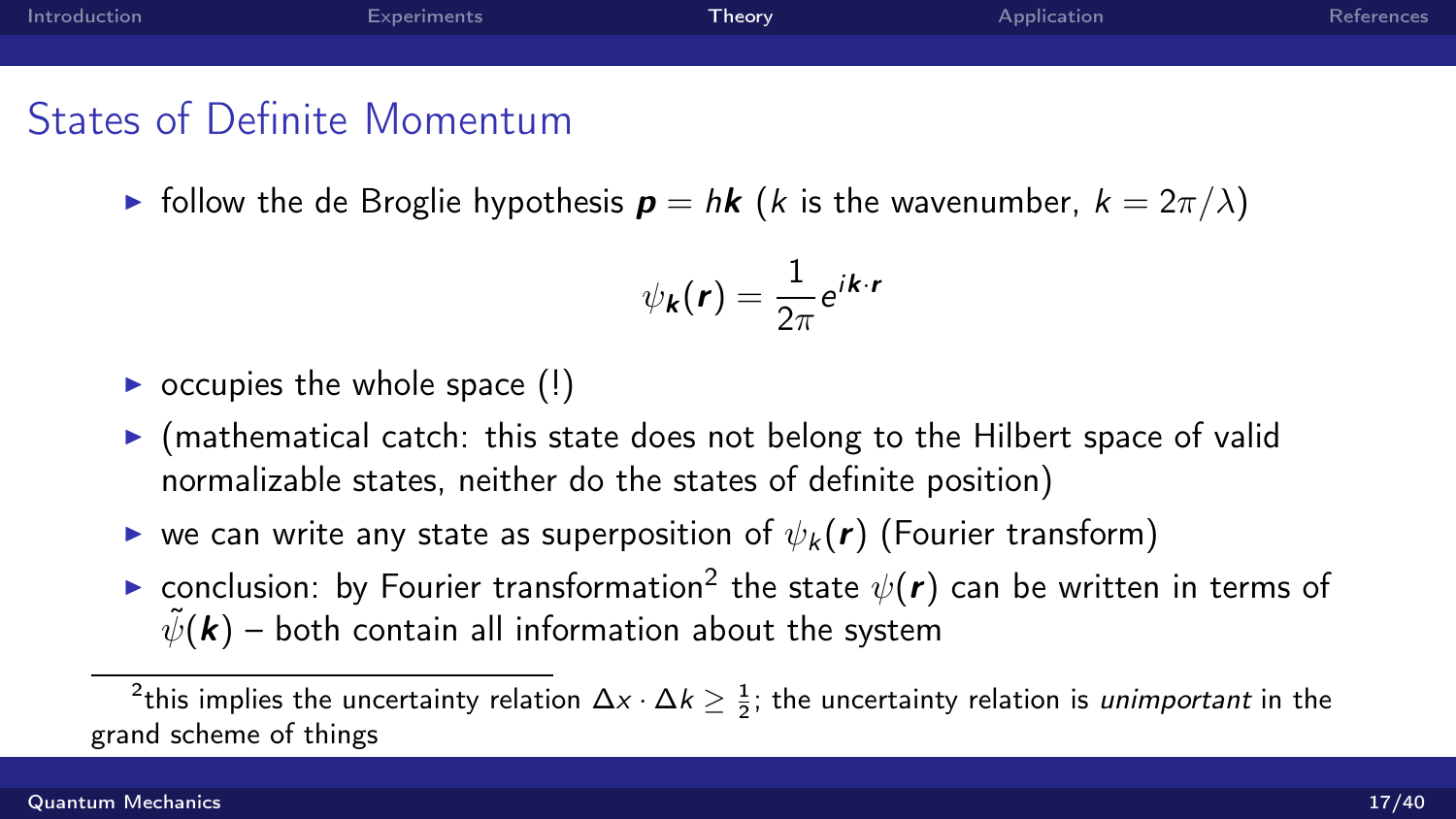| Introduction | Experiments | Theory <sup>1</sup> | Application | References |
|--------------|-------------|---------------------|-------------|------------|
|              |             |                     |             |            |
|              |             |                     |             |            |

# States of Definite Momentum

Follow the de Broglie hypothesis  $p = h k$  (*k* is the wavenumber,  $k = 2\pi/\lambda$ )

$$
\psi_{\bm{k}}(\bm{r}) = \frac{1}{2\pi}e^{i\bm{k}\cdot\bm{r}}
$$

- $\triangleright$  occupies the whole space (!)
- $\triangleright$  (mathematical catch: this state does not belong to the Hilbert space of valid normalizable states, neither do the states of definite position)
- $\triangleright$  we can write any state as superposition of  $\psi_k(\mathbf{r})$  (Fourier transform)
- $\blacktriangleright$  conclusion: by Fourier transformation $^2$  the state  $\psi(\bm{r})$  can be written in terms of  $\tilde{\psi}(\mathbf{k})$  – both contain all information about the system

 $^2$ this implies the uncertainty relation  $\Delta {\sf x} \cdot \Delta k \geq \frac{1}{2}$ ; the uncertainty relation is *unimportant* in the grand scheme of things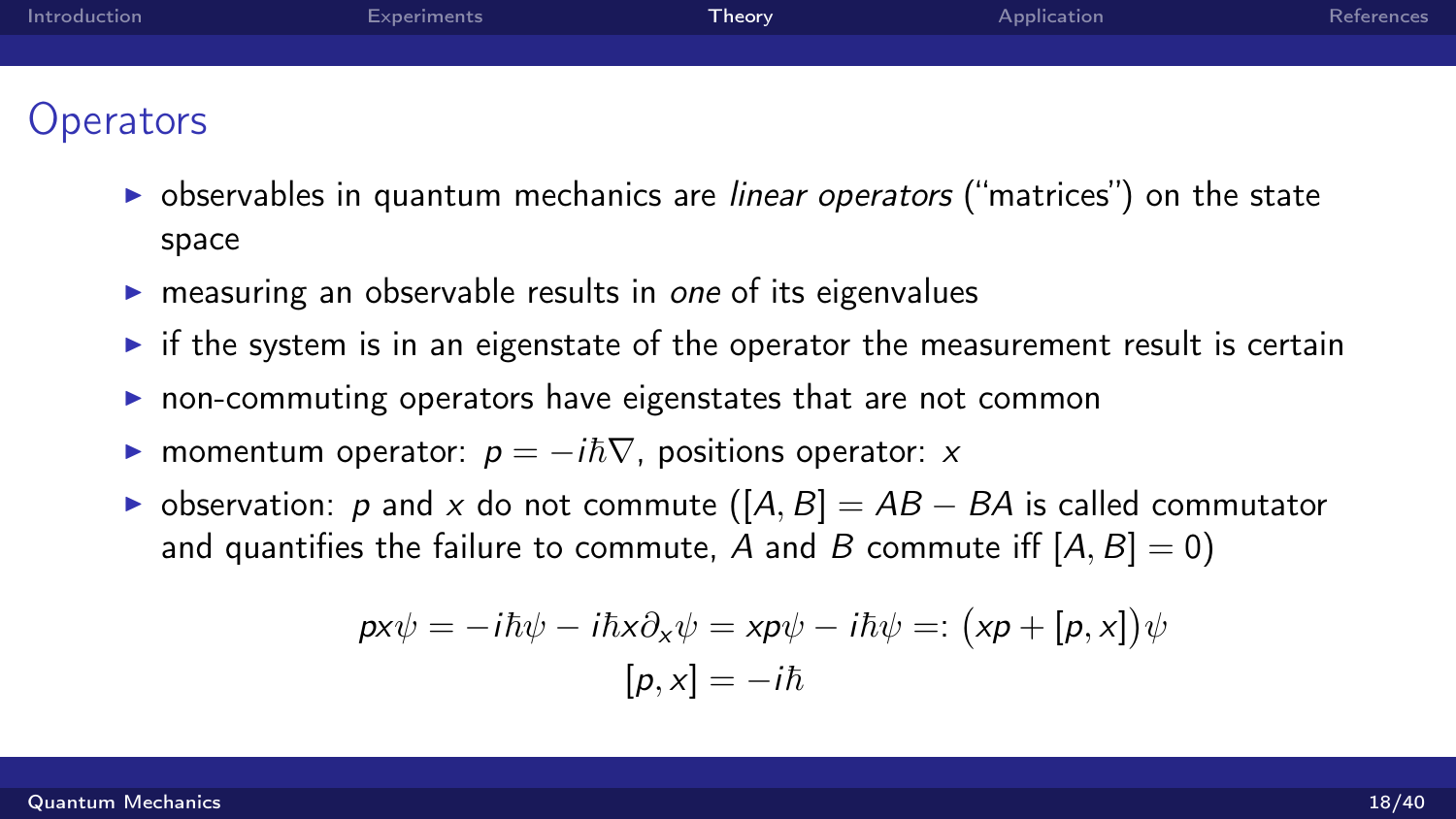| Introduction | Experiments | Theory | Application | References |
|--------------|-------------|--------|-------------|------------|
|              |             |        |             |            |
|              |             |        |             |            |
| Operators    |             |        |             |            |

- $\triangleright$  observables in quantum mechanics are *linear operators* ("matrices") on the state space
- $\triangleright$  measuring an observable results in one of its eigenvalues
- $\triangleright$  if the system is in an eigenstate of the operator the measurement result is certain
- non-commuting operators have eigenstates that are not common
- ► momentum operator:  $p = -i\hbar \nabla$ , positions operator: x
- $\triangleright$  observation: p and x do not commute ([A, B] = AB − BA is called commutator and quantifies the failure to commute, A and B commute iff  $[A, B] = 0$ )

$$
px\psi = -i\hbar\psi - i\hbar x \partial_x \psi = xp\psi - i\hbar\psi =: (xp + [p, x])\psi
$$

$$
[p, x] = -i\hbar
$$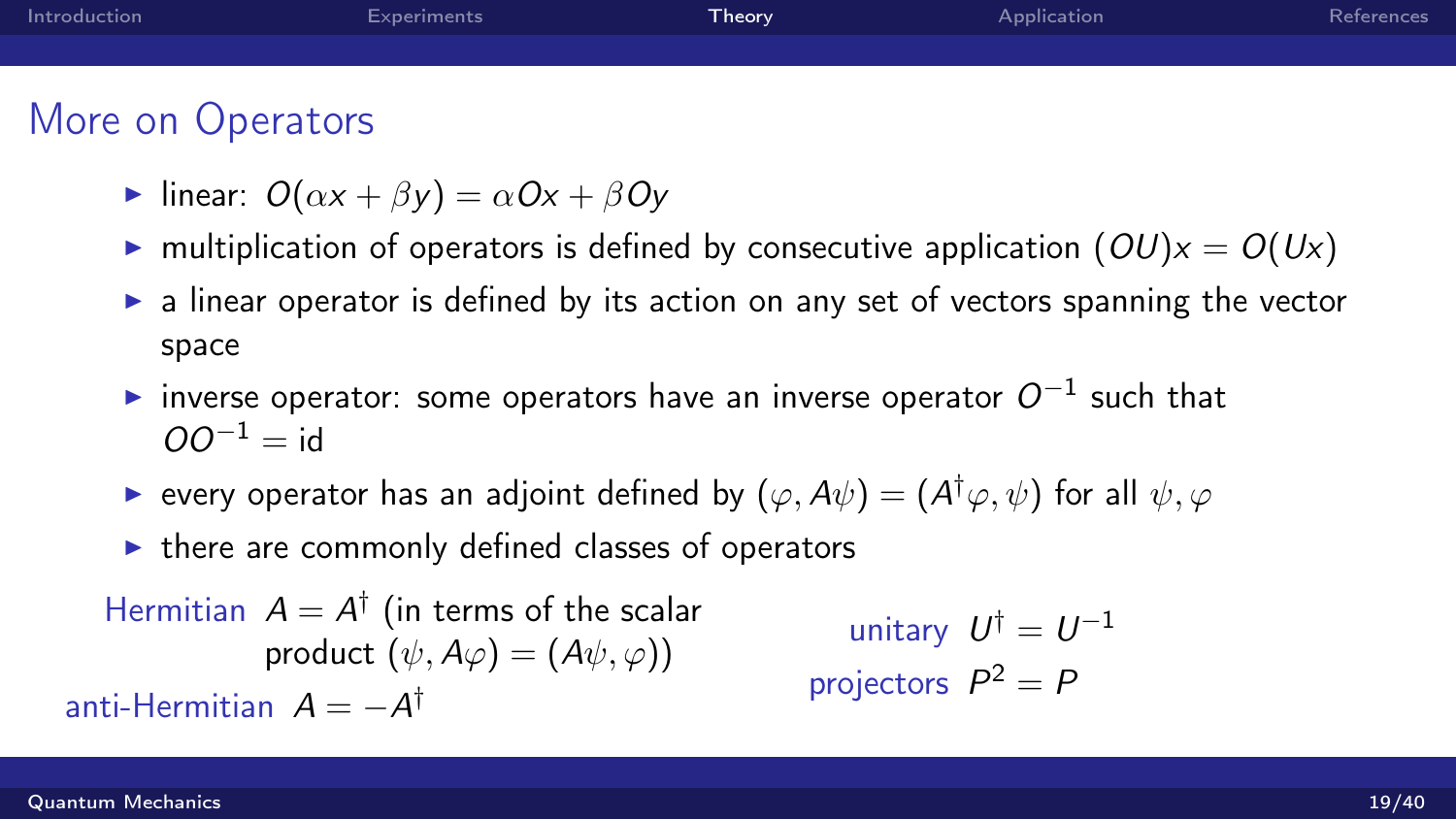| Introduction      | Experiments | Theory | Application | References |
|-------------------|-------------|--------|-------------|------------|
|                   |             |        |             |            |
|                   |             |        |             |            |
| More on Operators |             |        |             |            |

- linear:  $O(\alpha x + \beta y) = \alpha Ox + \beta Oy$
- In multiplication of operators is defined by consecutive application  $(OU)x = O(Ux)$
- $\triangleright$  a linear operator is defined by its action on any set of vectors spanning the vector space
- $\blacktriangleright$  inverse operator: some operators have an inverse operator  $O^{-1}$  such that  $\Omega O^{-1} - id$
- $\blacktriangleright$  every operator has an adjoint defined by  $(\varphi,A\psi)=(A^{\dagger}\varphi,\psi)$  for all  $\psi,\varphi$
- $\triangleright$  there are commonly defined classes of operators

Hermitian  $A = A^{\dagger}$  (in terms of the scalar product  $(\psi, A\varphi) = (A\psi, \varphi)$ anti-Hermitian  $A = -A^{\dagger}$ unitary  $U^{\dagger} = U^{-1}$ projectors  $P^2 = P$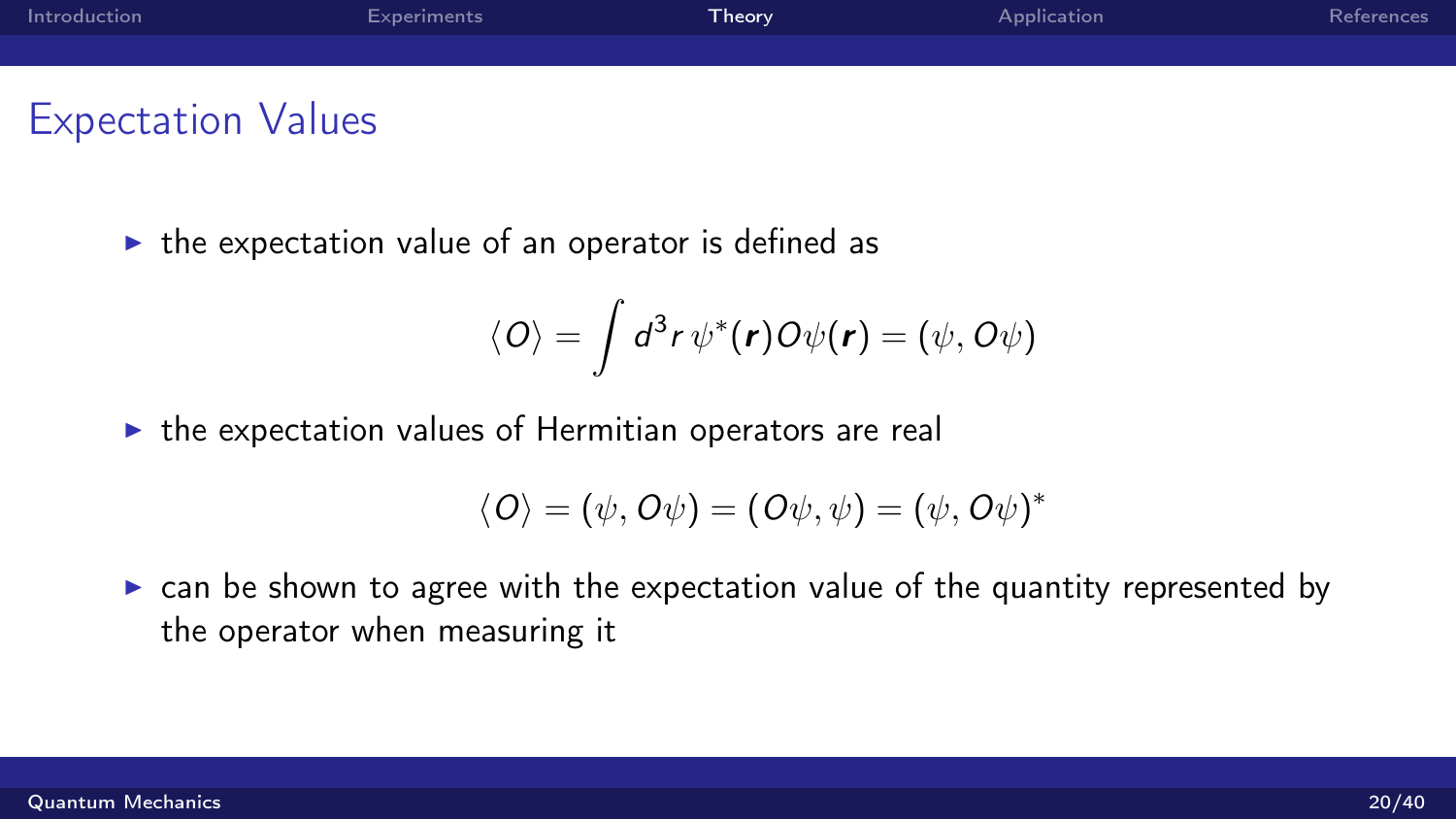| Introduction | Experiments | Theory <sup>1</sup> | Application | References |
|--------------|-------------|---------------------|-------------|------------|
|              |             |                     |             |            |
|              |             |                     |             |            |

## Expectation Values

 $\triangleright$  the expectation value of an operator is defined as

$$
\langle O \rangle = \int d^3r \, \psi^*(r) O \psi(r) = (\psi, O \psi)
$$

 $\triangleright$  the expectation values of Hermitian operators are real

$$
\langle O\rangle=(\psi,O\psi)=(O\psi,\psi)=(\psi,O\psi)^*
$$

 $\triangleright$  can be shown to agree with the expectation value of the quantity represented by the operator when measuring it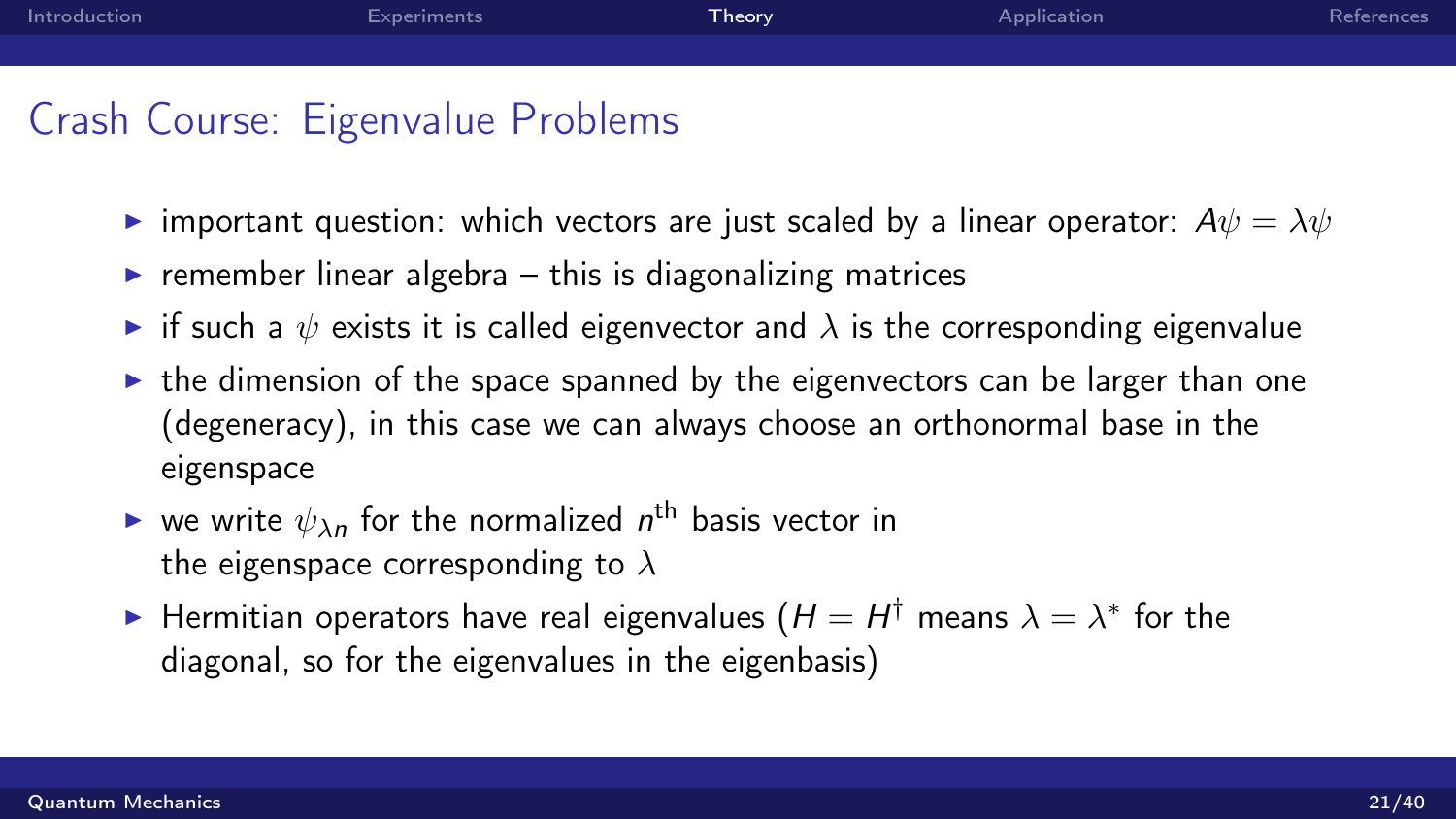# Crash Course: Eigenvalue Problems

- important question: which vectors are just scaled by a linear operator:  $A\psi = \lambda \psi$
- $\triangleright$  remember linear algebra this is diagonalizing matrices
- if such a  $\psi$  exists it is called eigenvector and  $\lambda$  is the corresponding eigenvalue
- $\triangleright$  the dimension of the space spanned by the eigenvectors can be larger than one (degeneracy), in this case we can always choose an orthonormal base in the eigenspace
- $\blacktriangleright$  we write  $\psi_{\lambda n}$  for the normalized  $n^{\text{th}}$  basis vector in the eigenspace corresponding to  $\lambda$
- ► Hermitian operators have real eigenvalues ( $H=H^\dagger$  means  $\lambda=\lambda^*$  for the diagonal, so for the eigenvalues in the eigenbasis)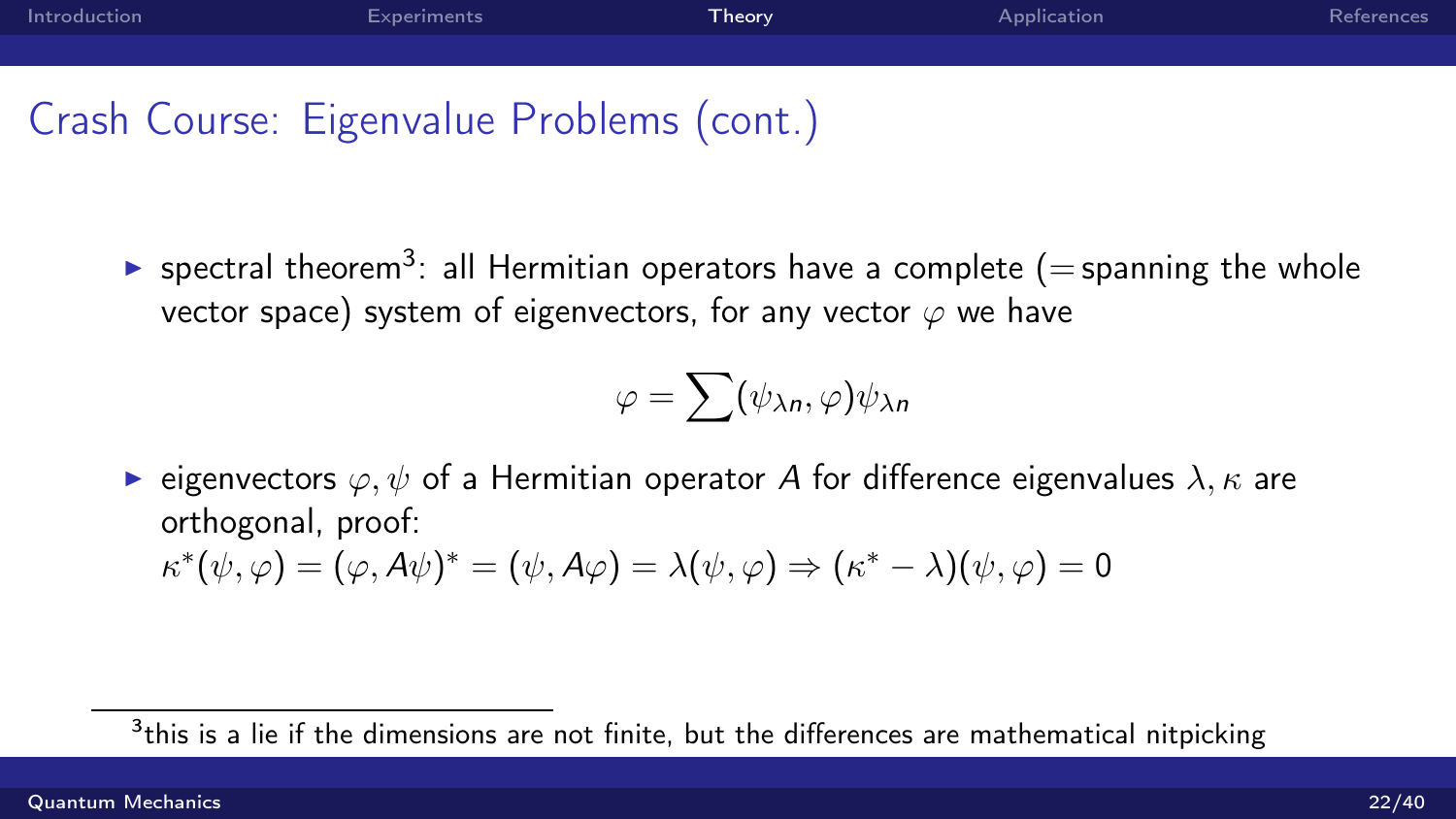# Crash Course: Eigenvalue Problems (cont.)

 $\blacktriangleright$  spectral theorem<sup>3</sup>: all Hermitian operators have a complete (= spanning the whole vector space) system of eigenvectors, for any vector  $\varphi$  we have

$$
\varphi = \sum (\psi_{\lambda n}, \varphi) \psi_{\lambda n}
$$

**E** eigenvectors  $\varphi, \psi$  of a Hermitian operator A for difference eigenvalues  $\lambda, \kappa$  are orthogonal, proof:  $\kappa^*(\psi, \varphi) = (\varphi, A\psi)^* = (\psi, A\varphi) = \lambda(\psi, \varphi) \Rightarrow (\kappa^* - \lambda)(\psi, \varphi) = 0$ 

 $^3$ this is a lie if the dimensions are not finite, but the differences are mathematical nitpicking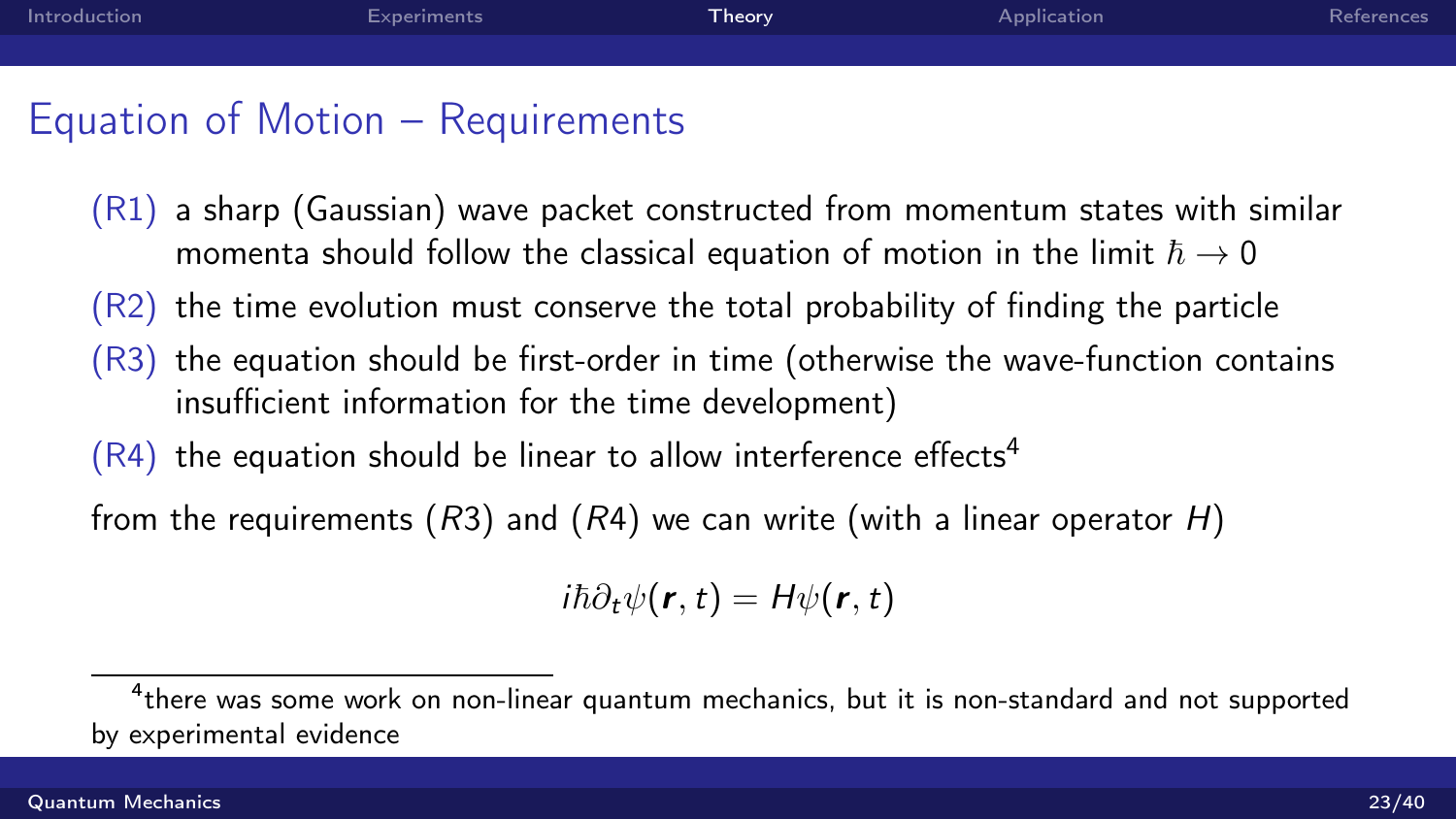# Equation of Motion – Requirements

- (R1) a sharp (Gaussian) wave packet constructed from momentum states with similar momenta should follow the classical equation of motion in the limit  $\hbar \rightarrow 0$
- (R2) the time evolution must conserve the total probability of finding the particle
- (R3) the equation should be first-order in time (otherwise the wave-function contains insufficient information for the time development)
- $(R4)$  the equation should be linear to allow interference effects<sup>4</sup>

from the requirements (R3) and (R4) we can write (with a linear operator H)

$$
i\hbar\partial_t\psi(\bm{r},t)=H\psi(\bm{r},t)
$$

 $^4$ there was some work on non-linear quantum mechanics, but it is non-standard and not supported by experimental evidence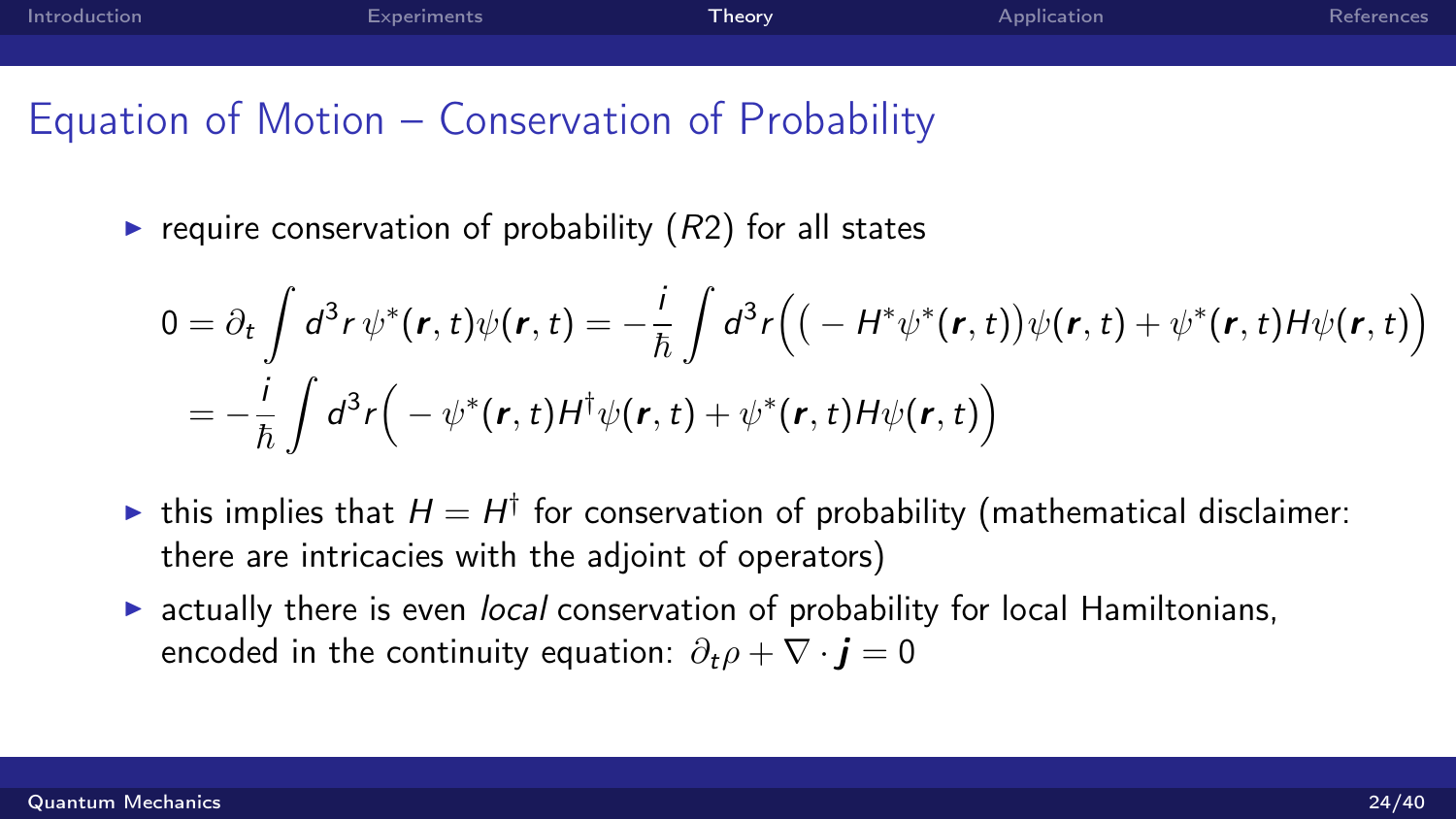| Introduction | Experiments | Theory | Application | References |
|--------------|-------------|--------|-------------|------------|
|              |             |        |             |            |

## Equation of Motion – Conservation of Probability

require conservation of probability  $(R2)$  for all states

$$
0 = \partial_t \int d^3r \, \psi^*(\mathbf{r}, t) \psi(\mathbf{r}, t) = -\frac{i}{\hbar} \int d^3r \Big( \big( - H^* \psi^*(\mathbf{r}, t) \big) \psi(\mathbf{r}, t) + \psi^*(\mathbf{r}, t) H \psi(\mathbf{r}, t) \Big)
$$
  
= 
$$
-\frac{i}{\hbar} \int d^3r \Big( - \psi^*(\mathbf{r}, t) H^{\dagger} \psi(\mathbf{r}, t) + \psi^*(\mathbf{r}, t) H \psi(\mathbf{r}, t) \Big)
$$

- In this implies that  $H = H^{\dagger}$  for conservation of probability (mathematical disclaimer: there are intricacies with the adjoint of operators)
- $\triangleright$  actually there is even *local* conservation of probability for local Hamiltonians, encoded in the continuity equation:  $\partial_t \rho + \nabla \cdot \mathbf{i} = 0$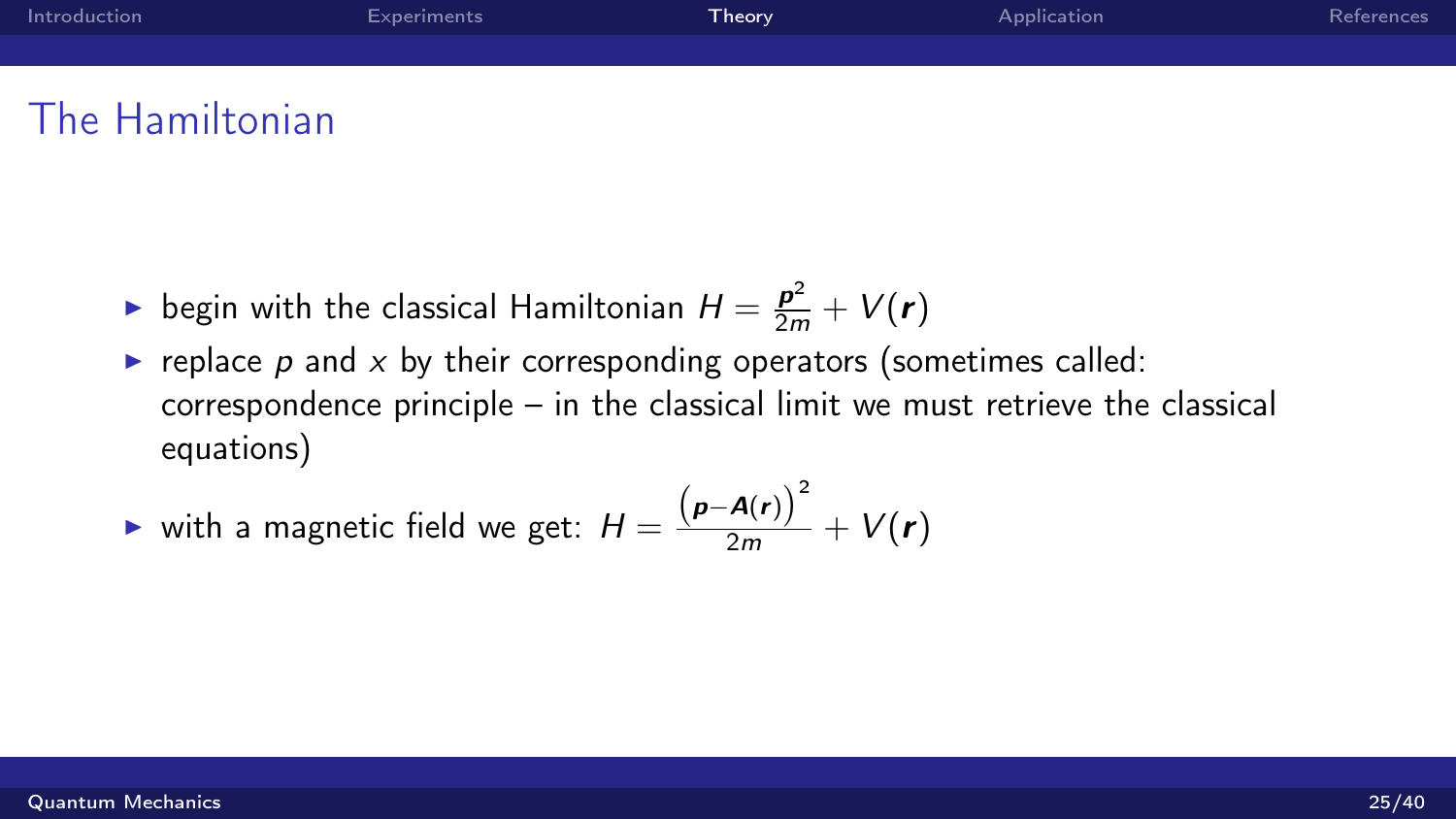| Introduction | Experiments | Theory <sup>1</sup> | Application | References |
|--------------|-------------|---------------------|-------------|------------|
|              |             |                     |             |            |

## The Hamiltonian

- $\blacktriangleright$  begin with the classical Hamiltonian  $H = \frac{\boldsymbol{p}^2}{2m} + V(\boldsymbol{r})$
- replace  $p$  and  $x$  by their corresponding operators (sometimes called: correspondence principle – in the classical limit we must retrieve the classical equations)

**with a magnetic field we get:** 
$$
H = \frac{(p - A(r))^2}{2m} + V(r)
$$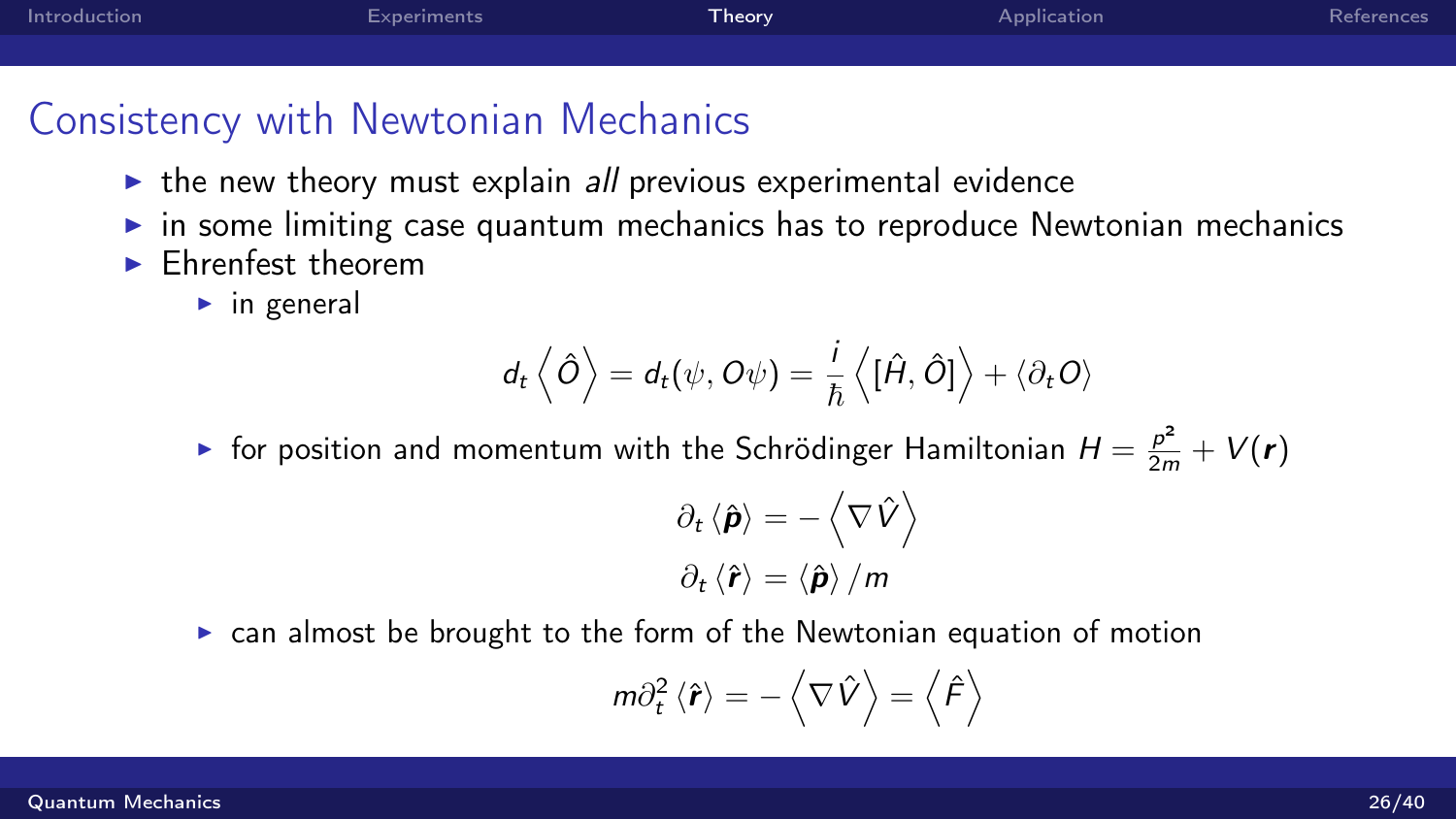| Introduction | <b>Experiments</b> | ${\sf Theory}$ | Application | References |
|--------------|--------------------|----------------|-------------|------------|
|              |                    |                |             |            |

## Consistency with Newtonian Mechanics

- $\triangleright$  the new theory must explain all previous experimental evidence
- $\triangleright$  in some limiting case quantum mechanics has to reproduce Newtonian mechanics
- $\blacktriangleright$  Ehrenfest theorem
	- $\blacktriangleright$  in general

$$
d_t\left\langle \hat{O}\right\rangle = d_t(\psi,O\psi) = \frac{i}{\hbar}\left\langle [\hat{H},\hat{O}]\right\rangle + \left\langle \partial_t O\right\rangle
$$

 $\blacktriangleright$  for position and momentum with the Schrödinger Hamiltonian  $H = \frac{p^2}{2m} + V(\bm{r})$ 

$$
\partial_t \left\langle \hat{\boldsymbol{\rho}} \right\rangle = -\left\langle \nabla \hat{V} \right\rangle
$$

$$
\partial_t \left\langle \hat{\boldsymbol{r}} \right\rangle = \left\langle \hat{\boldsymbol{\rho}} \right\rangle / m
$$

 $\triangleright$  can almost be brought to the form of the Newtonian equation of motion

$$
m\partial_t^2\left\langle \hat{\bm{r}}\right\rangle=-\left\langle \nabla\hat{V}\right\rangle=\left\langle \hat{F}\right\rangle
$$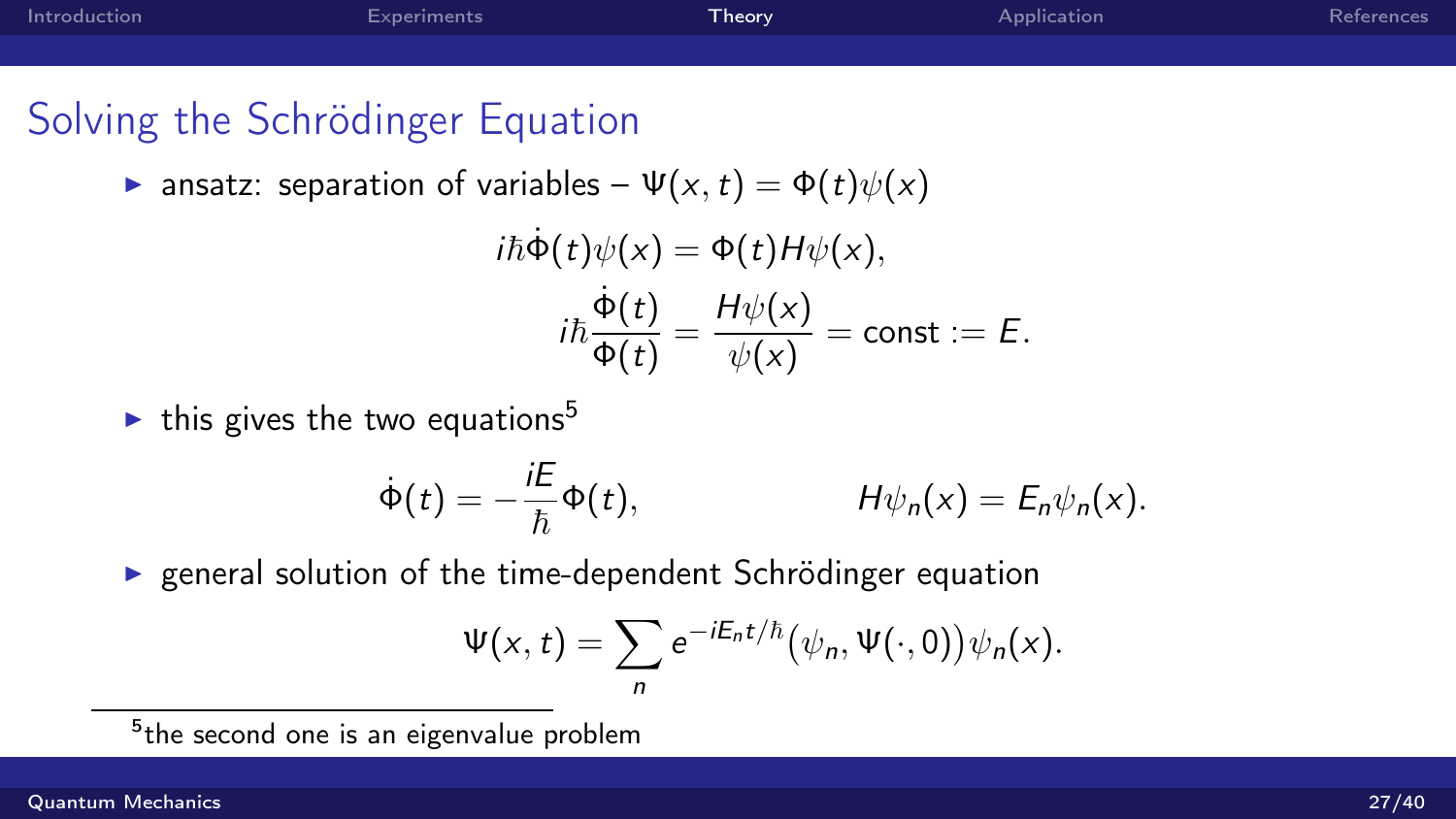# Solving the Schrödinger Equation

**E** ansatz: separation of variables –  $\Psi(x, t) = \Phi(t)\psi(x)$ 

$$
i\hbar\dot{\Phi}(t)\psi(x) = \Phi(t)H\psi(x),
$$

$$
i\hbar\frac{\dot{\Phi}(t)}{\Phi(t)} = \frac{H\psi(x)}{\psi(x)} = \text{const} := E.
$$

 $\blacktriangleright$  this gives the two equations<sup>5</sup>

$$
\dot{\Phi}(t) = -\frac{iE}{\hbar}\Phi(t), \qquad H\psi_n(x) = E_n\psi_n(x).
$$

 $\triangleright$  general solution of the time-dependent Schrödinger equation

$$
\Psi(x,t)=\sum_n e^{-iE_nt/\hbar}(\psi_n,\Psi(\cdot,0))\psi_n(x).
$$

<sup>5</sup>the second one is an eigenvalue problem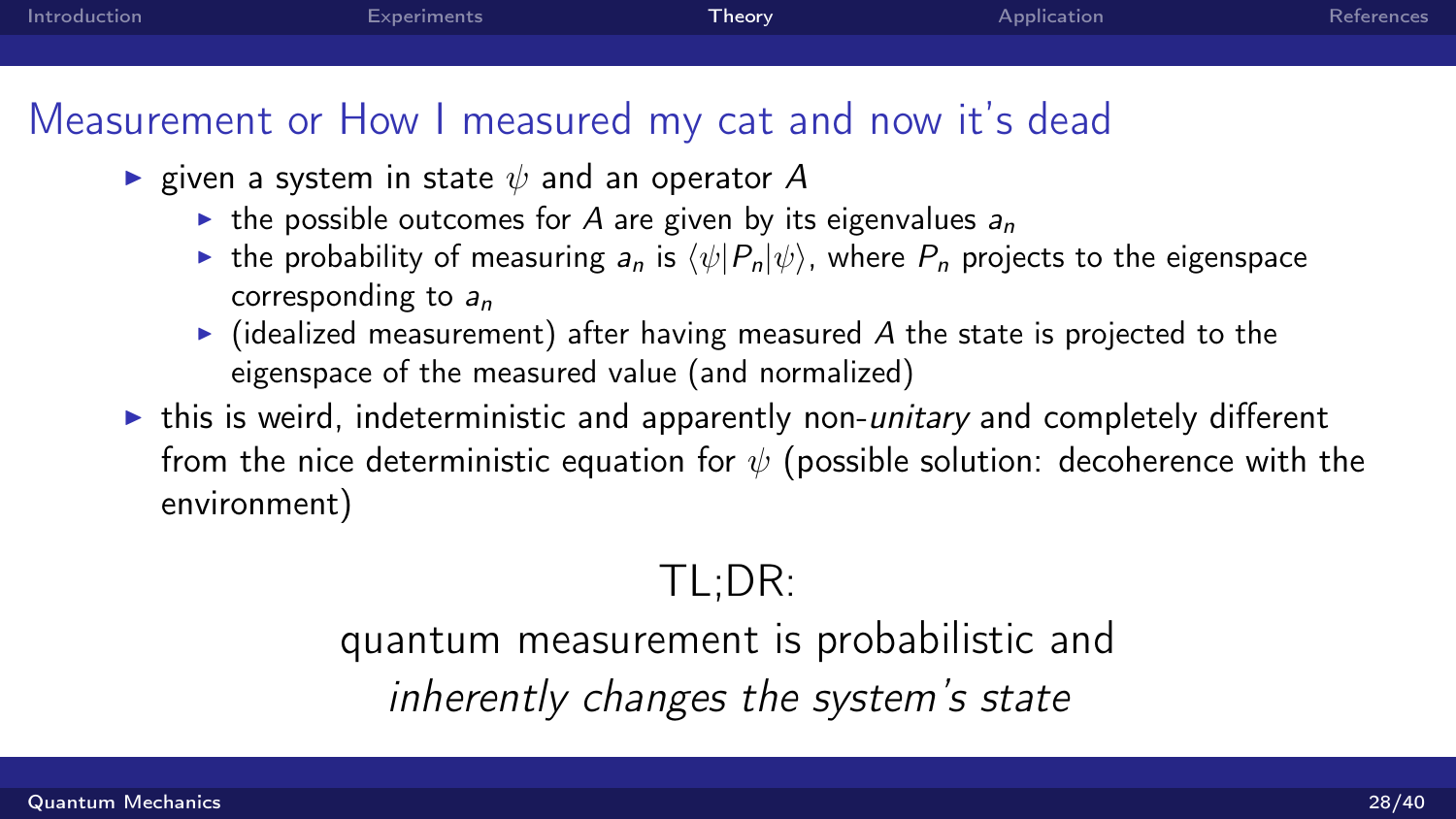| Introduction | Experiments                                                                                                                        | Theory | Application | References |
|--------------|------------------------------------------------------------------------------------------------------------------------------------|--------|-------------|------------|
|              |                                                                                                                                    |        |             |            |
|              | Measurement or How I measured my cat and now it's dead<br>$\sim$ $\pi$ $\mu$ on a system in state $\psi$ and an anomator $\Lambda$ |        |             |            |

- **E** given a system in state  $\psi$  and an operator A
	- $\triangleright$  the possible outcomes for A are given by its eigenvalues  $a_n$
	- **If** the probability of measuring  $a_n$  is  $\langle \psi | P_n | \psi \rangle$ , where  $P_n$  projects to the eigenspace corresponding to  $a_n$
	- $\triangleright$  (idealized measurement) after having measured A the state is projected to the eigenspace of the measured value (and normalized)
- $\triangleright$  this is weird, indeterministic and apparently non-*unitary* and completely different from the nice deterministic equation for  $\psi$  (possible solution: decoherence with the environment)

# TL;DR:

quantum measurement is probabilistic and inherently changes the system's state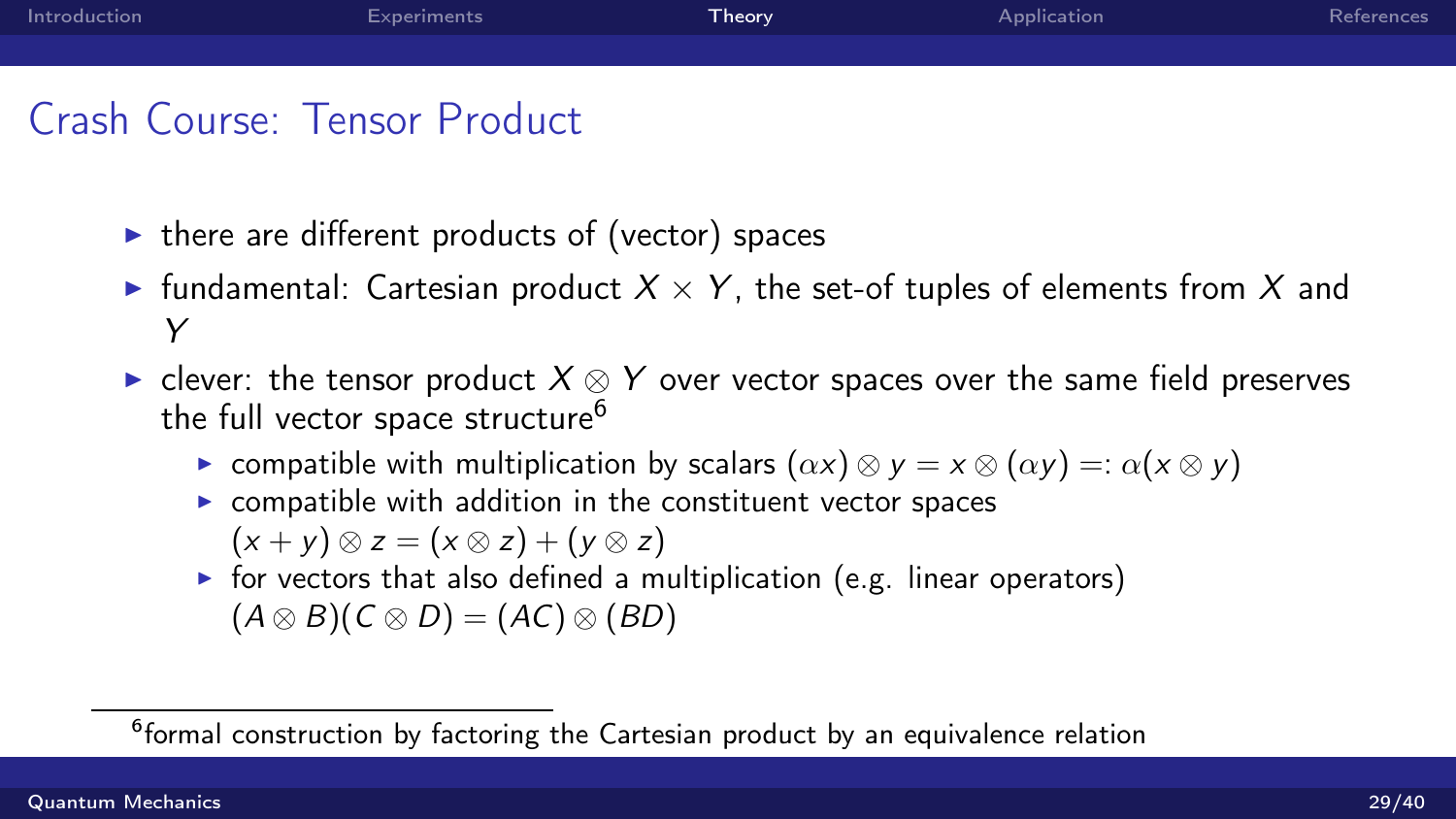# Crash Course: Tensor Product

- $\triangleright$  there are different products of (vector) spaces
- **Fundamental:** Cartesian product  $X \times Y$ , the set-of tuples of elements from X and Y
- ► clever: the tensor product  $X \otimes Y$  over vector spaces over the same field preserves the full vector space structure<sup>6</sup>
	- **►** compatible with multiplication by scalars  $(\alpha x) \otimes y = x \otimes (\alpha y) =: \alpha(x \otimes y)$
	- $\triangleright$  compatible with addition in the constituent vector spaces
		- $(x + y) \otimes z = (x \otimes z) + (y \otimes z)$
	- $\triangleright$  for vectors that also defined a multiplication (e.g. linear operators)  $(A \otimes B)(C \otimes D) = (AC) \otimes (BD)$

<sup>&</sup>lt;sup>6</sup>formal construction by factoring the Cartesian product by an equivalence relation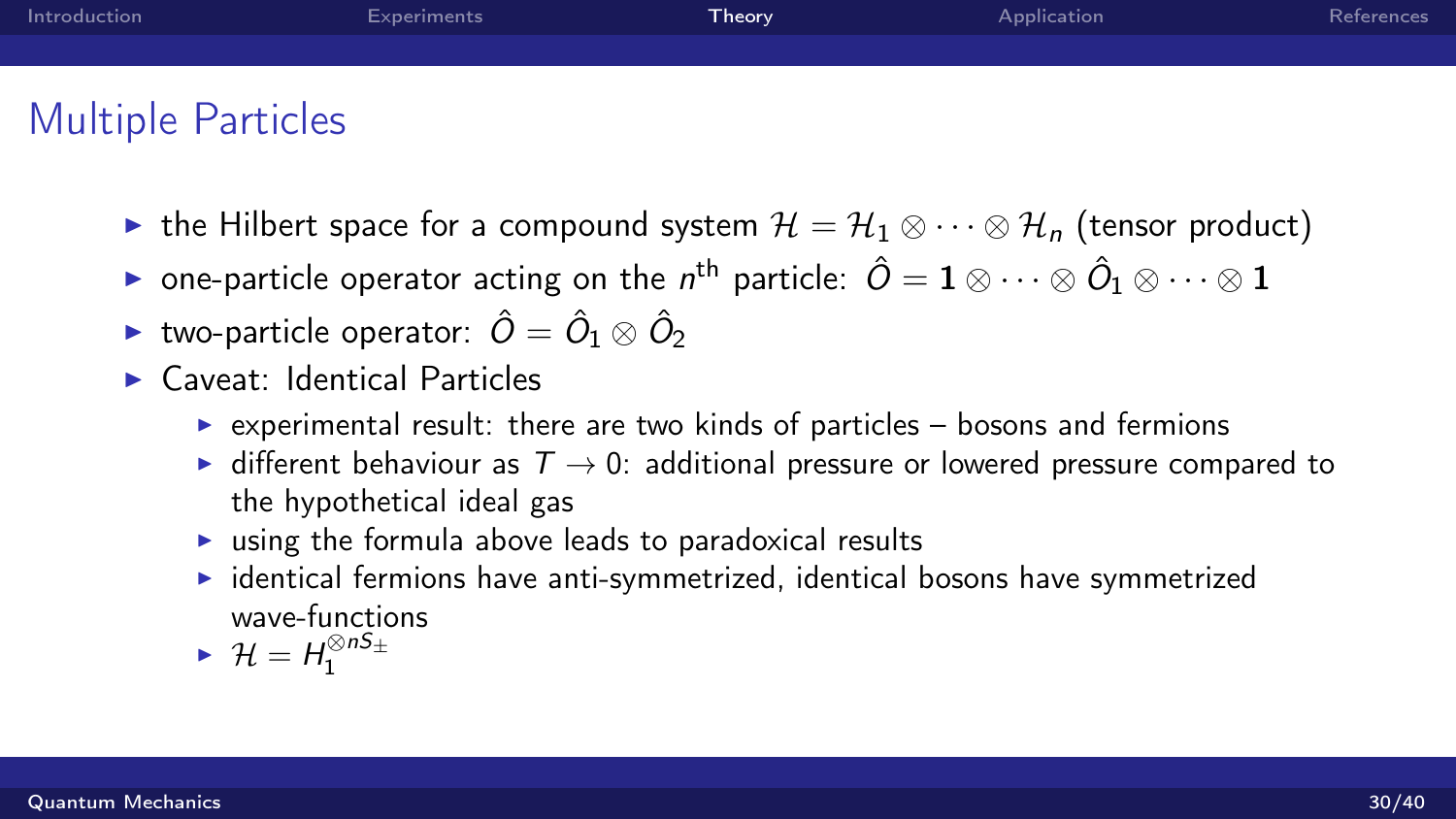| Introduction       | Experiments | <b>Theory</b> | Application | References |
|--------------------|-------------|---------------|-------------|------------|
|                    |             |               |             |            |
|                    |             |               |             |            |
| Multiple Particles |             |               |             |            |

- Multiple Particles
	- ► the Hilbert space for a compound system  $\mathcal{H} = \mathcal{H}_1 \otimes \cdots \otimes \mathcal{H}_n$  (tensor product)
	- $\blacktriangleright$  one-particle operator acting on the  $n^{\text{th}}$  particle:  $\hat{O} = \mathbf{1} \otimes \cdots \otimes \hat{O}_1 \otimes \cdots \otimes \mathbf{1}$
	- $\blacktriangleright$  two-particle operator:  $\hat{O}=\hat{O}_1\otimes\hat{O}_2$
	- $\blacktriangleright$  Caveat: Identical Particles
		- $\triangleright$  experimental result: there are two kinds of particles bosons and fermions
		- $\triangleright$  different behaviour as  $T \to 0$ : additional pressure or lowered pressure compared to the hypothetical ideal gas
		- $\triangleright$  using the formula above leads to paradoxical results
		- $\triangleright$  identical fermions have anti-symmetrized, identical bosons have symmetrized wave-functions

$$
\blacktriangleright \mathcal{H} = \mathcal{H}_1^{\otimes nS_\pm}
$$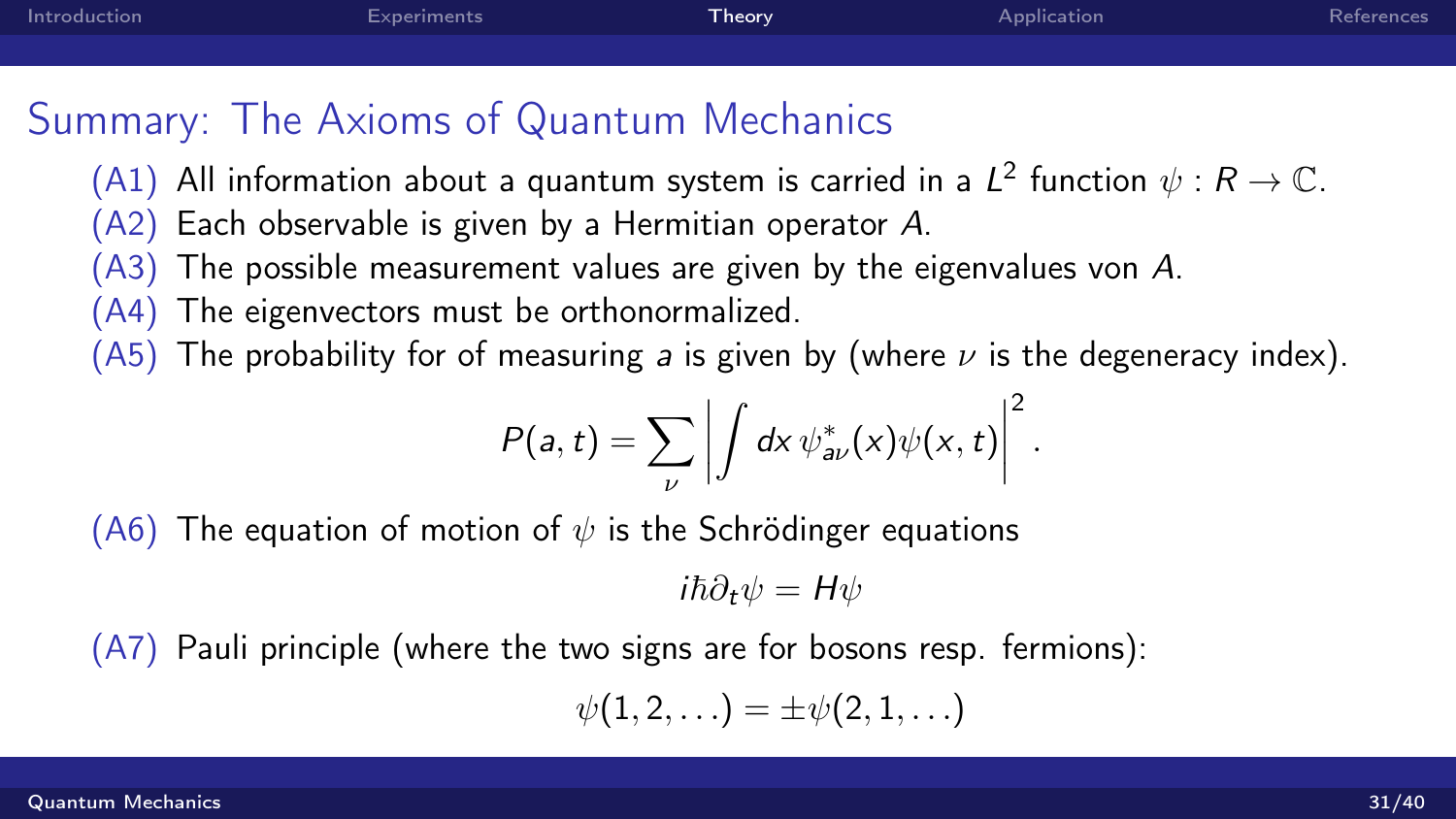# Summary: The Axioms of Quantum Mechanics

- (A1) All information about a quantum system is carried in a  $L^2$  function  $\psi: R \to \mathbb{C}$ .
- (A2) Each observable is given by a Hermitian operator A.
- (A3) The possible measurement values are given by the eigenvalues von A.
- (A4) The eigenvectors must be orthonormalized.
- (A5) The probability for of measuring a is given by (where  $\nu$  is the degeneracy index).

$$
P(a,t)=\sum_{\nu}\left|\int dx\,\psi^*_{a\nu}(x)\psi(x,t)\right|^2.
$$

(A6) The equation of motion of  $\psi$  is the Schrödinger equations

$$
i\hbar\partial_t\psi=H\psi
$$

(A7) Pauli principle (where the two signs are for bosons resp. fermions):

$$
\psi(1,2,\ldots)=\pm\psi(2,1,\ldots)
$$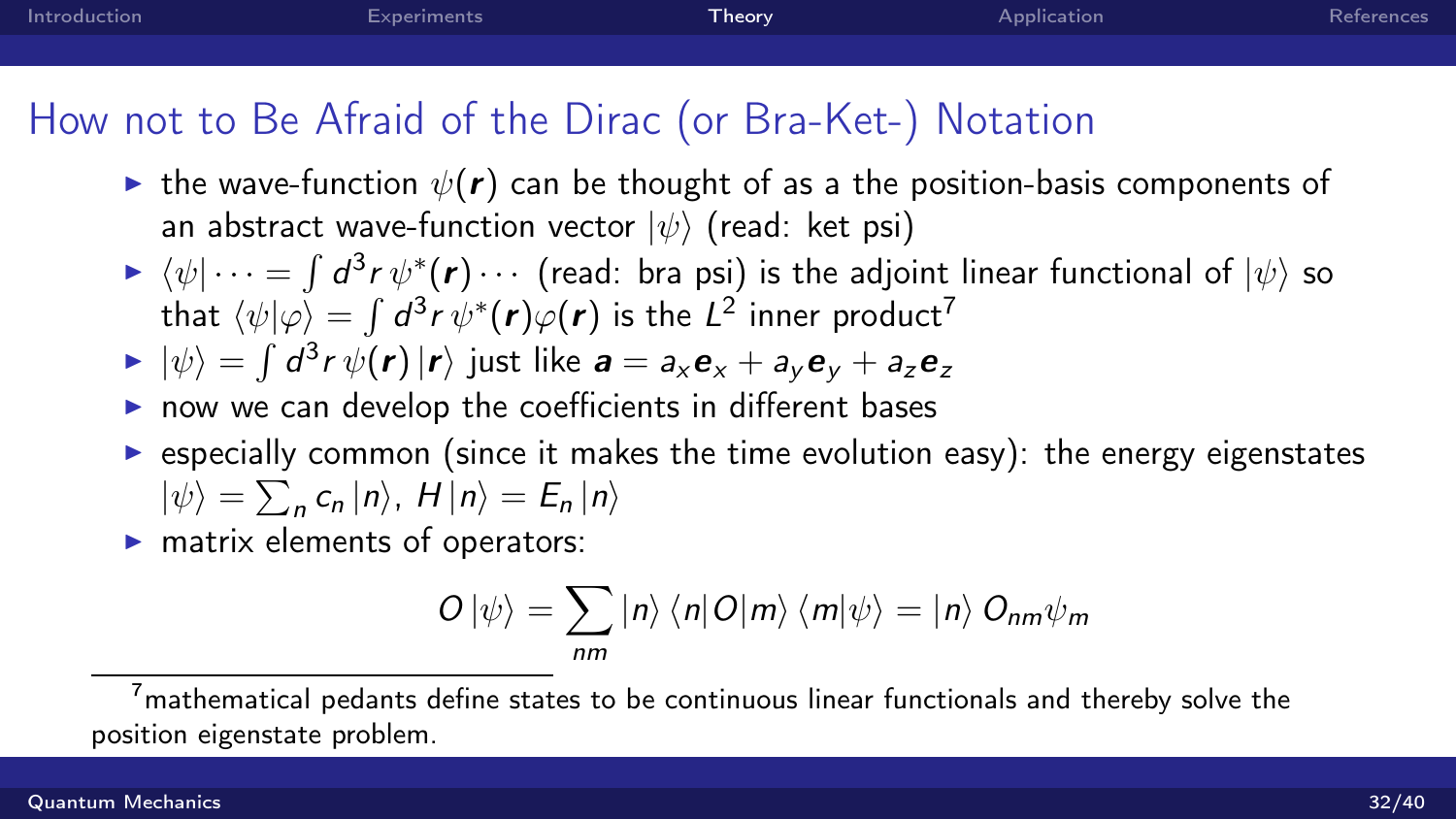[Introduction](#page-2-0) [Experiments](#page-4-0) [Theory](#page-12-0) [Application](#page-32-0) [References](#page-42-0)

# How not to Be Afraid of the Dirac (or Bra-Ket-) Notation

- ightharpoontangleright the wave-function  $\psi(\mathbf{r})$  can be thought of as a the position-basis components of an abstract wave-function vector  $|\psi\rangle$  (read: ket psi)
- $\blacktriangleright \ \langle \psi | \cdots = \int d^3r \, \psi^*(r) \cdots$  (read: bra psi) is the adjoint linear functional of  $|\psi\rangle$  so that  $\langle \psi|\varphi\rangle = \int d^3r\, \psi^*(\bm{r})\varphi(\bm{r})$  is the  $L^2$  inner product $^7$

$$
\blacktriangleright |\psi\rangle = \int d^3r \, \psi(\mathbf{r}) |\mathbf{r}\rangle \text{ just like } \mathbf{a} = a_x \mathbf{e}_x + a_y \mathbf{e}_y + a_z \mathbf{e}_z
$$

- $\triangleright$  now we can develop the coefficients in different bases
- $\triangleright$  especially common (since it makes the time evolution easy): the energy eigenstates  $|\psi\rangle = \sum_{n} c_{n} |n\rangle$ ,  $H |n\rangle = E_{n} |n\rangle$
- $\blacktriangleright$  matrix elements of operators:

$$
O\left|\psi\right\rangle =\sum_{nm}\left|n\right\rangle \left\langle n\right|O\left|m\right\rangle \left\langle m\right|\psi\right\rangle =\left|n\right\rangle O_{nm}\psi_{m}
$$

 $7$ mathematical pedants define states to be continuous linear functionals and thereby solve the position eigenstate problem.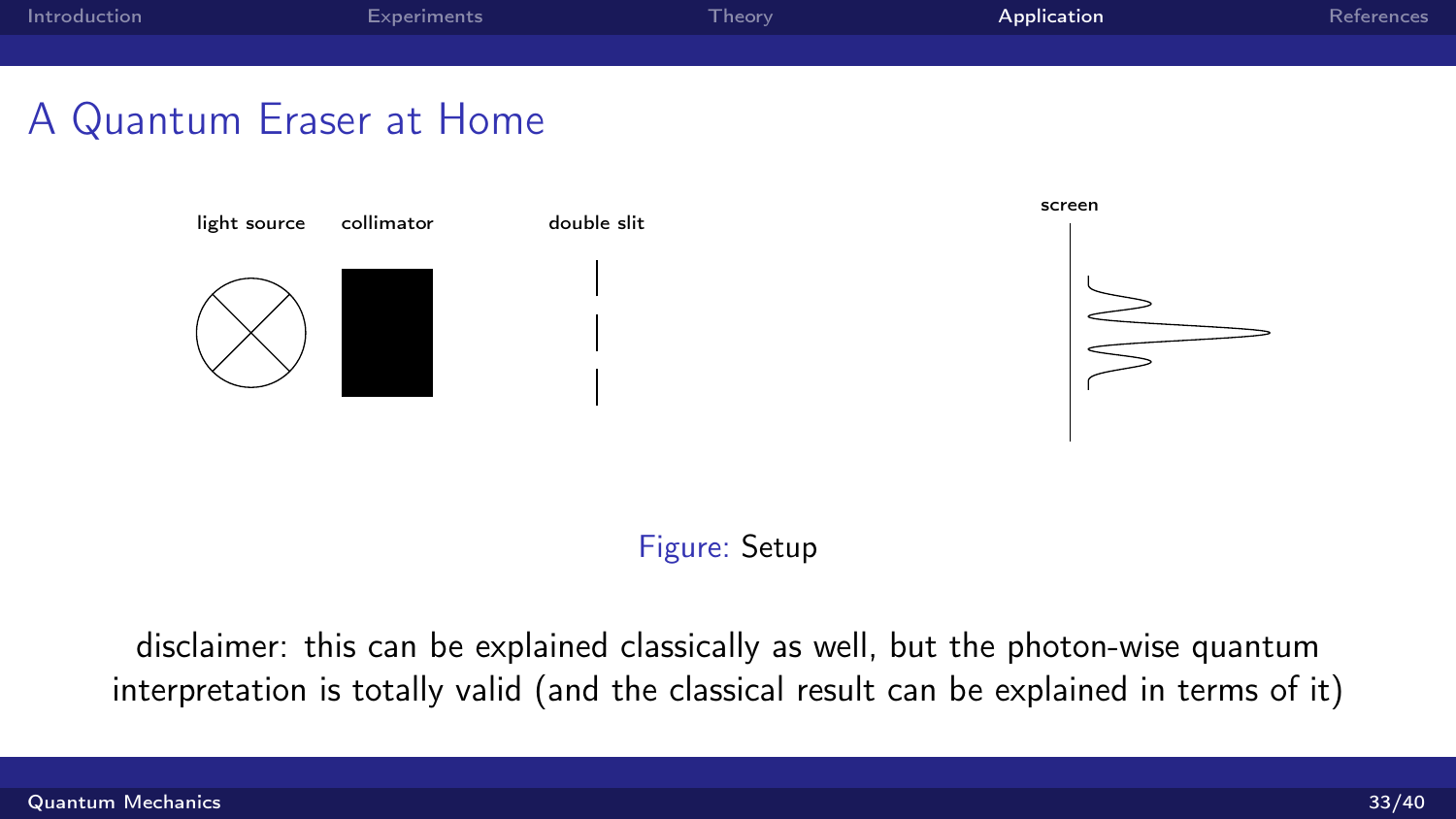<span id="page-32-0"></span>

#### Figure: Setup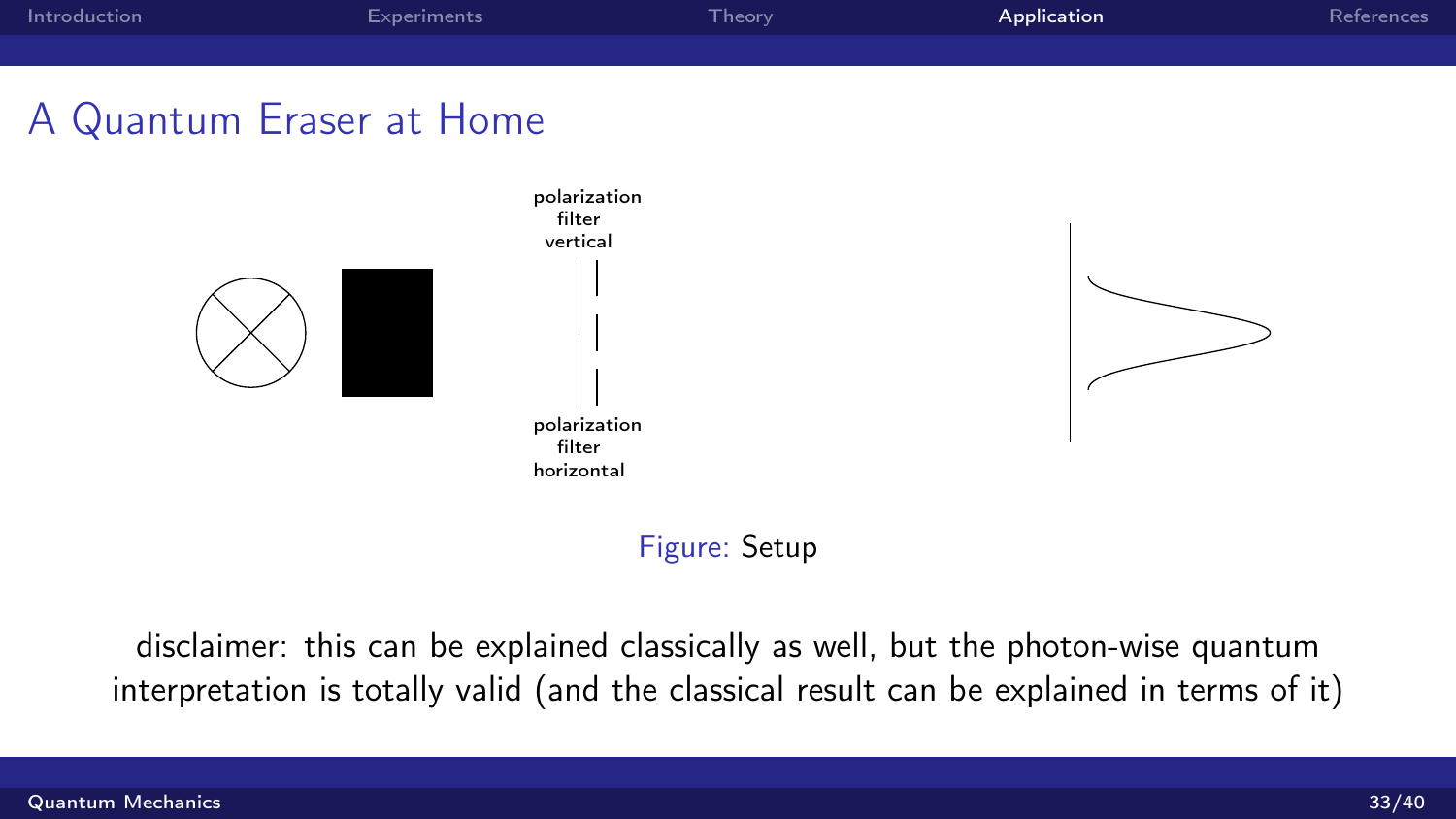



### Figure: Setup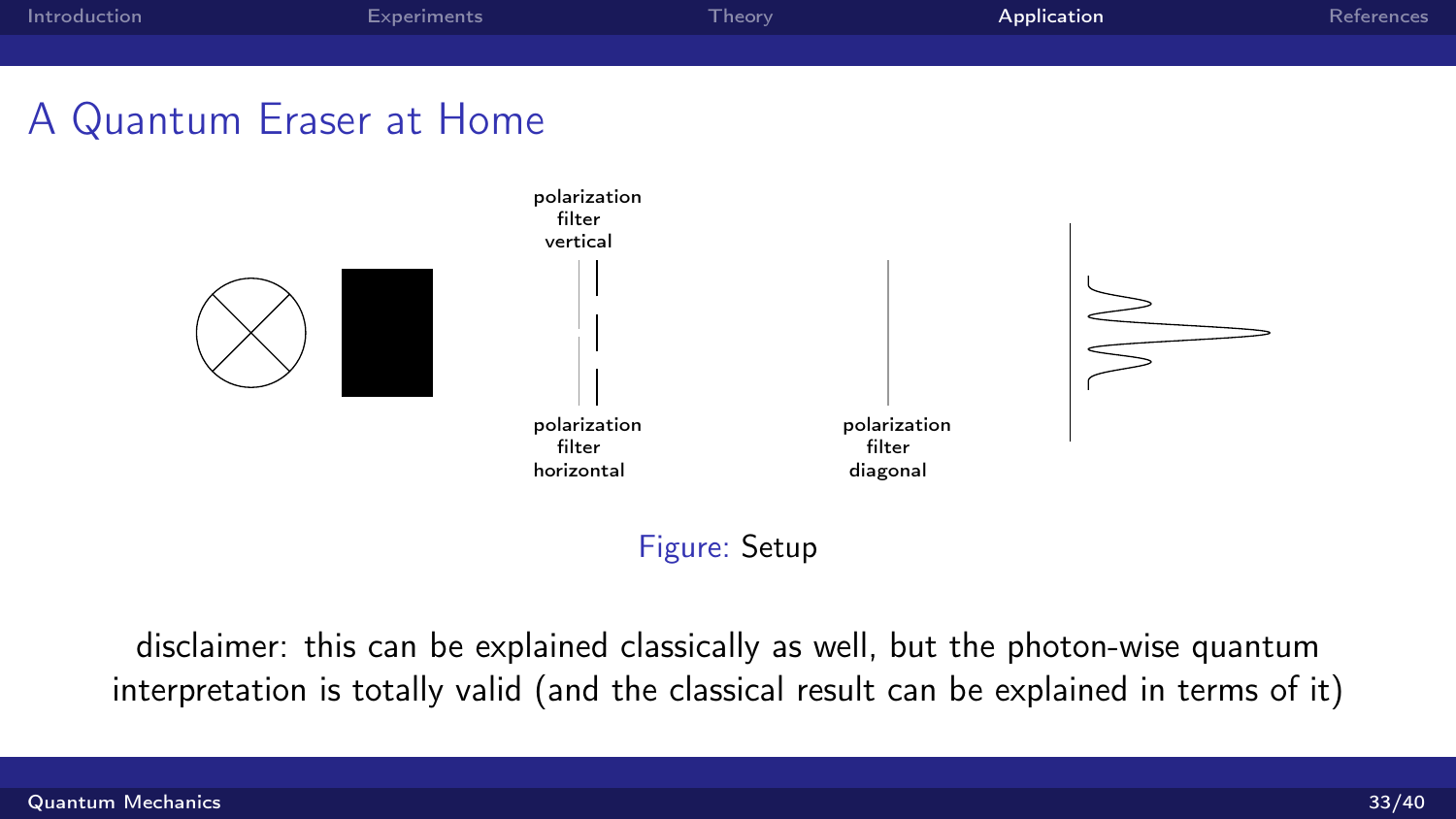

### Figure: Setup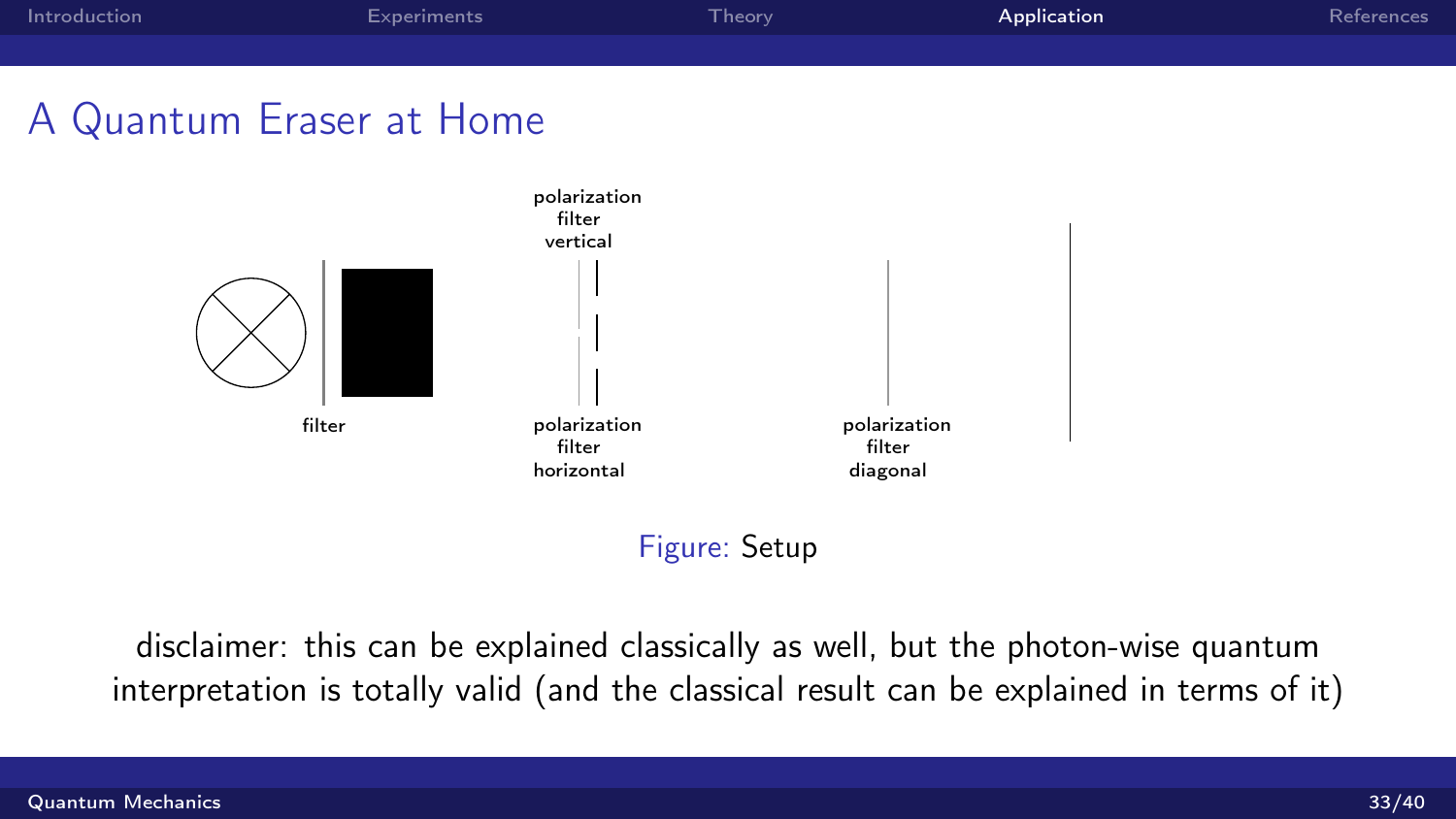

### Figure: Setup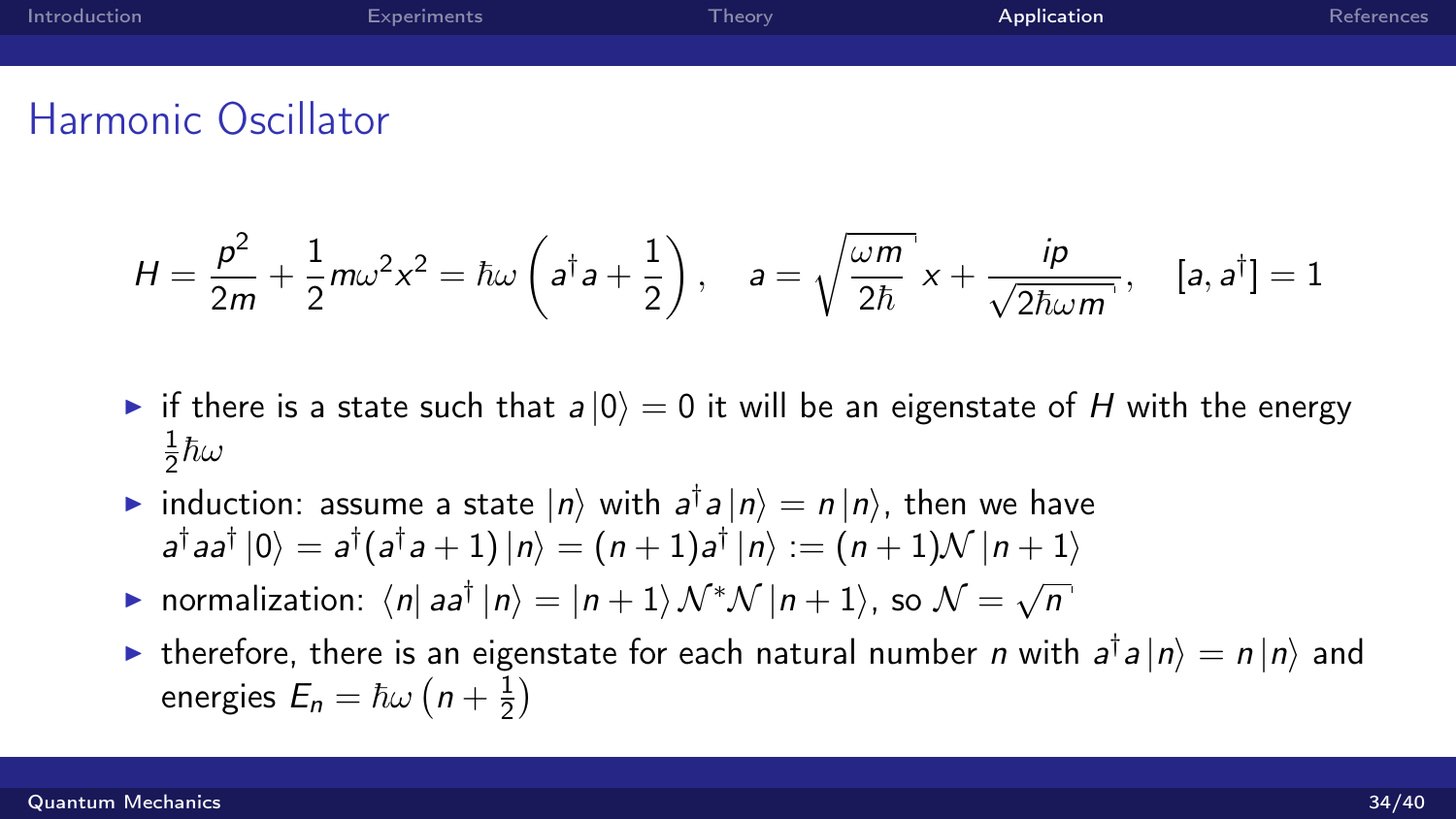| Introduction | Experiments | Theory <sup>1</sup> | Application | References |
|--------------|-------------|---------------------|-------------|------------|
|              |             |                     |             |            |
|              |             |                     |             |            |

### Harmonic Oscillator

$$
H = \frac{p^2}{2m} + \frac{1}{2}m\omega^2 x^2 = \hbar\omega\left(a^\dagger a + \frac{1}{2}\right), \quad a = \sqrt{\frac{\omega m}{2\hbar}}x + \frac{i\rho}{\sqrt{2\hbar\omega m}}, \quad [a, a^\dagger] = 1
$$

- If there is a state such that  $a |0\rangle = 0$  it will be an eigenstate of H with the energy 1  $\frac{1}{2}\hbar\omega$
- induction: assume a state  $|n\rangle$  with  $a^{\dagger}a|n\rangle = n|n\rangle$ , then we have  $|a^\dagger a a^\dagger\ket{0}=a^\dagger(a^\dagger a+1)\ket{n}=(n+1)a^\dagger\ket{n}:= (n+1){\cal N}\ket{n+1}$
- ► normalization:  $\langle n | a a^{\dagger} | n \rangle = |n+1\rangle \mathcal{N}^* \mathcal{N} |n+1\rangle$ , so  $\mathcal{N} = \sqrt{ }$ n
- In therefore, there is an eigenstate for each natural number n with  $a^{\dagger}a|n\rangle = n|n\rangle$  and energies  $E_n = \hbar \omega \left(n + \frac{1}{2}\right)$  $\frac{1}{2})$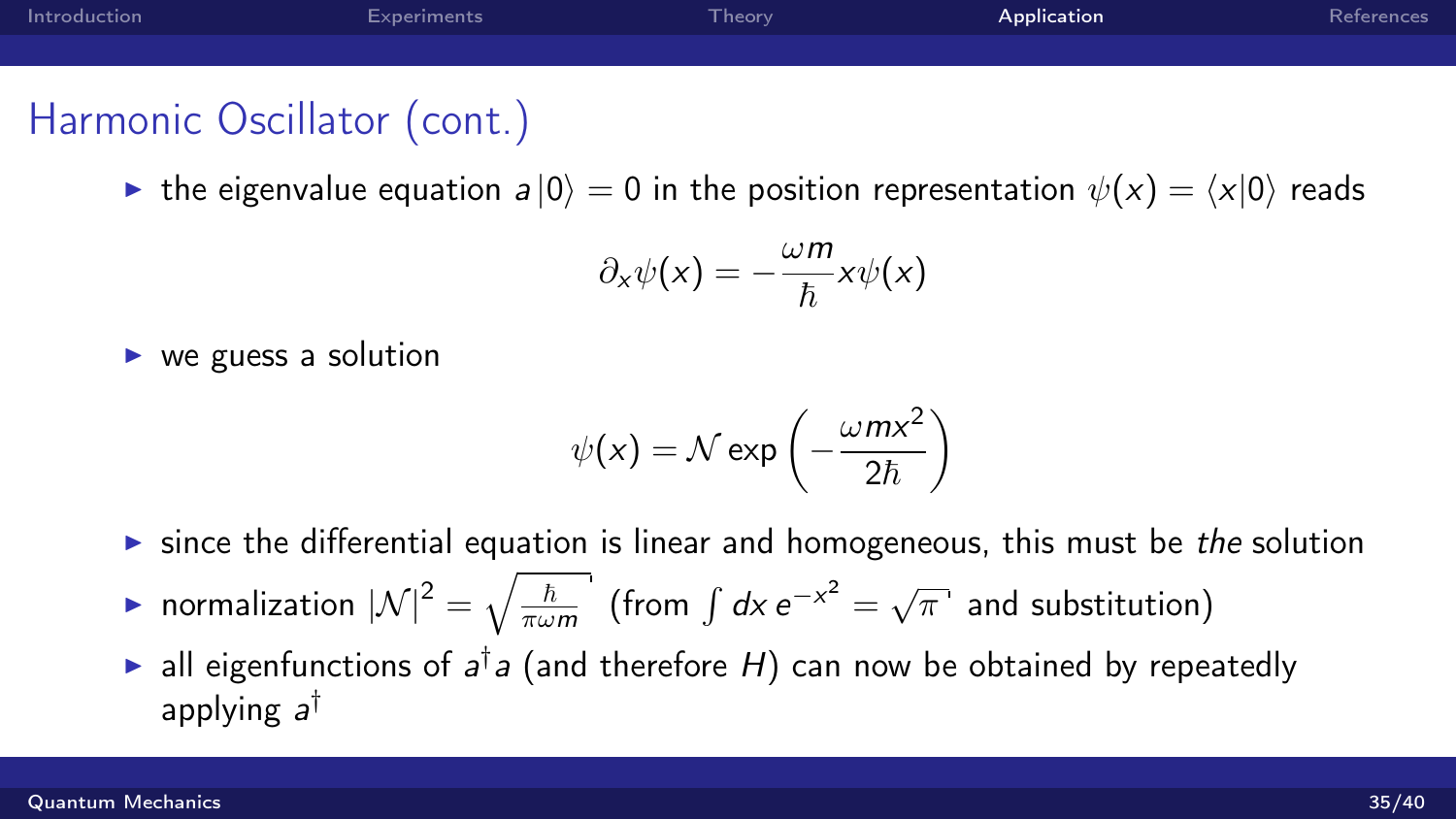| Introduction | Experiments | Theory | Application | References |
|--------------|-------------|--------|-------------|------------|
|              |             |        |             |            |
|              |             |        |             |            |

# Harmonic Oscillator (cont.)

**IDE** the eigenvalue equation  $a |0\rangle = 0$  in the position representation  $\psi(x) = \langle x|0\rangle$  reads

$$
\partial_x \psi(x) = -\frac{\omega m}{\hbar} x \psi(x)
$$

 $\triangleright$  we guess a solution

$$
\psi(x) = \mathcal{N} \exp\left(-\frac{\omega m x^2}{2\hbar}\right)
$$

- $\triangleright$  since the differential equation is linear and homogeneous, this must be the solution
- normalization  $|\mathcal{N}|^2 = \sqrt{\frac{\hbar}{\pi \omega}}$  $\overline{\frac{\hbar}{\pi \omega m}}$  (from  $\int dx e^{-x^2} = \sqrt{\pi}$  and substitution)
- ightharpoonup all eigenfunctions of  $a^{\dagger}a$  (and therefore H) can now be obtained by repeatedly applying a<sup>†</sup>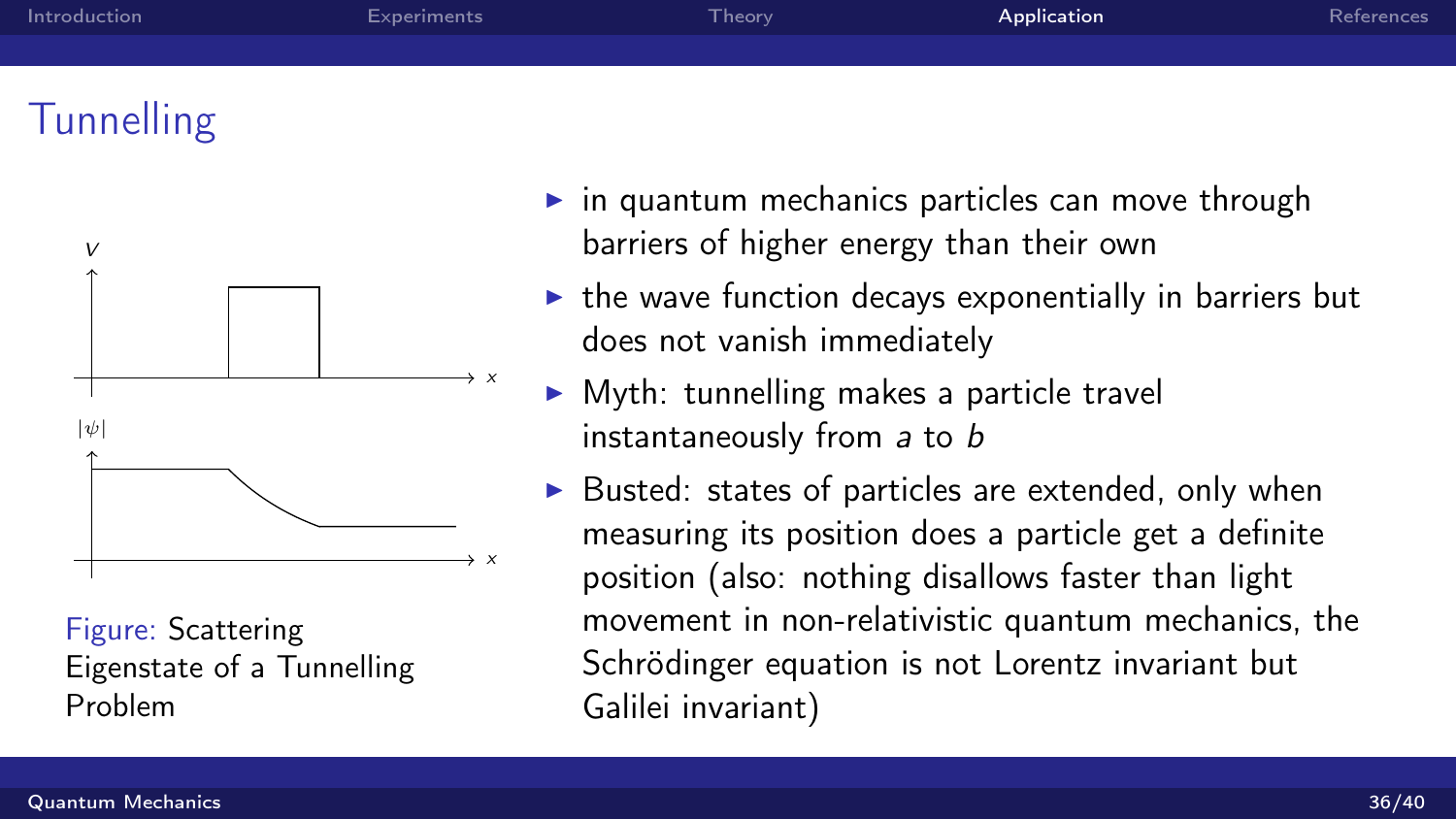| Introduction | Experiments | Theory <sup>1</sup> | Application | References |
|--------------|-------------|---------------------|-------------|------------|
|              |             |                     |             |            |
|              |             |                     |             |            |

# **Tunnelling**



Figure: Scattering Eigenstate of a Tunnelling Problem

- $\triangleright$  in quantum mechanics particles can move through barriers of higher energy than their own
- $\triangleright$  the wave function decays exponentially in barriers but does not vanish immediately
- $\triangleright$  Myth: tunnelling makes a particle travel instantaneously from a to b
- $\triangleright$  Busted: states of particles are extended, only when measuring its position does a particle get a definite position (also: nothing disallows faster than light movement in non-relativistic quantum mechanics, the Schrödinger equation is not Lorentz invariant but Galilei invariant)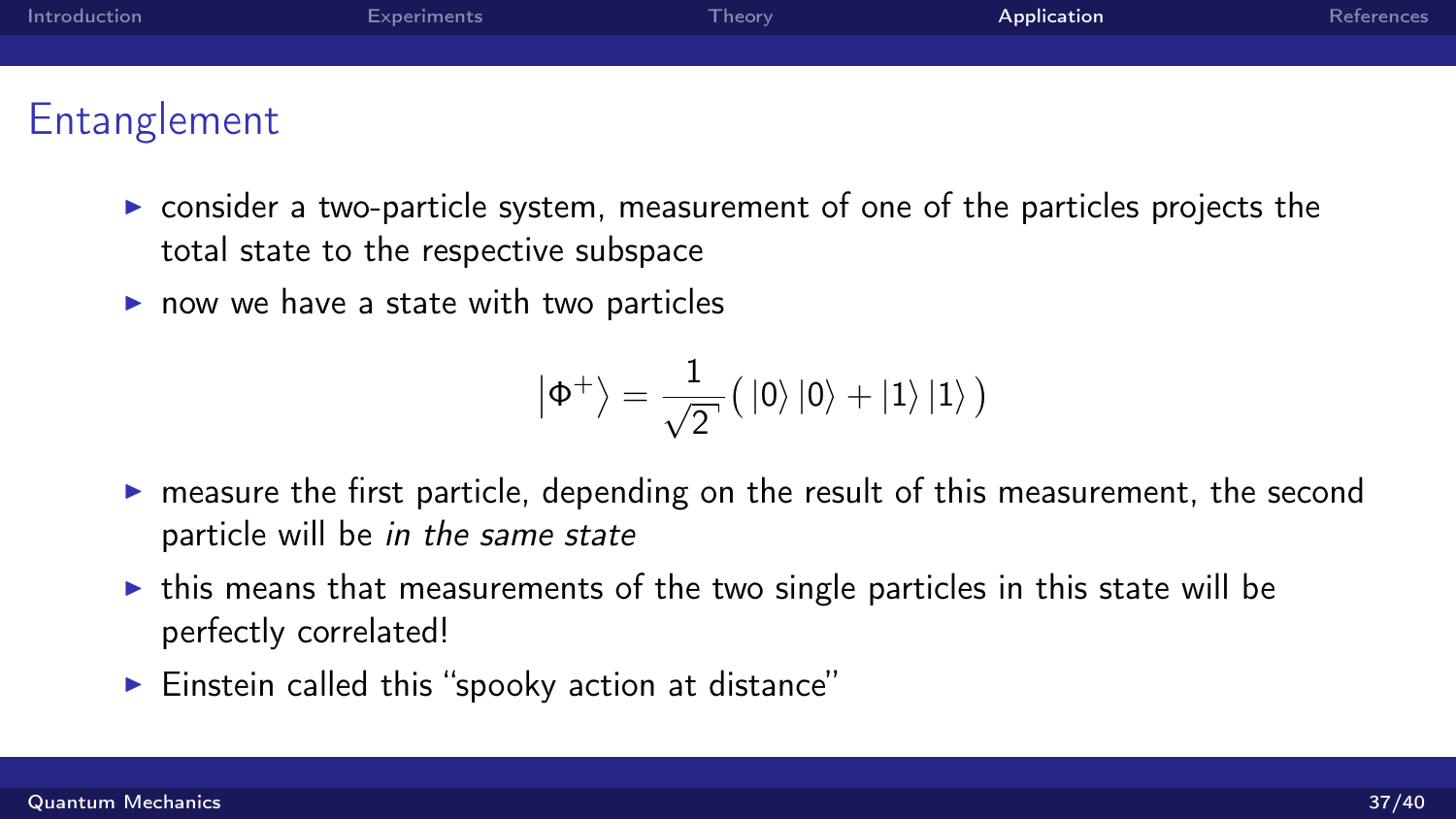| Introduction                | Experiments | Theory <sup>1</sup> | Application | References |
|-----------------------------|-------------|---------------------|-------------|------------|
|                             |             |                     |             |            |
|                             |             |                     |             |            |
| . Figure and a construction |             |                     |             |            |

## Entanglement

- $\triangleright$  consider a two-particle system, measurement of one of the particles projects the total state to the respective subspace
- $\triangleright$  now we have a state with two particles

$$
\left|\Phi^{+}\right\rangle =\frac{1}{\sqrt{2}^{\cdot}}\big(\left|0\right\rangle \left|0\right\rangle +\left|1\right\rangle \left|1\right\rangle \big)
$$

- $\triangleright$  measure the first particle, depending on the result of this measurement, the second particle will be in the same state
- $\triangleright$  this means that measurements of the two single particles in this state will be perfectly correlated!
- $\blacktriangleright$  Einstein called this "spooky action at distance"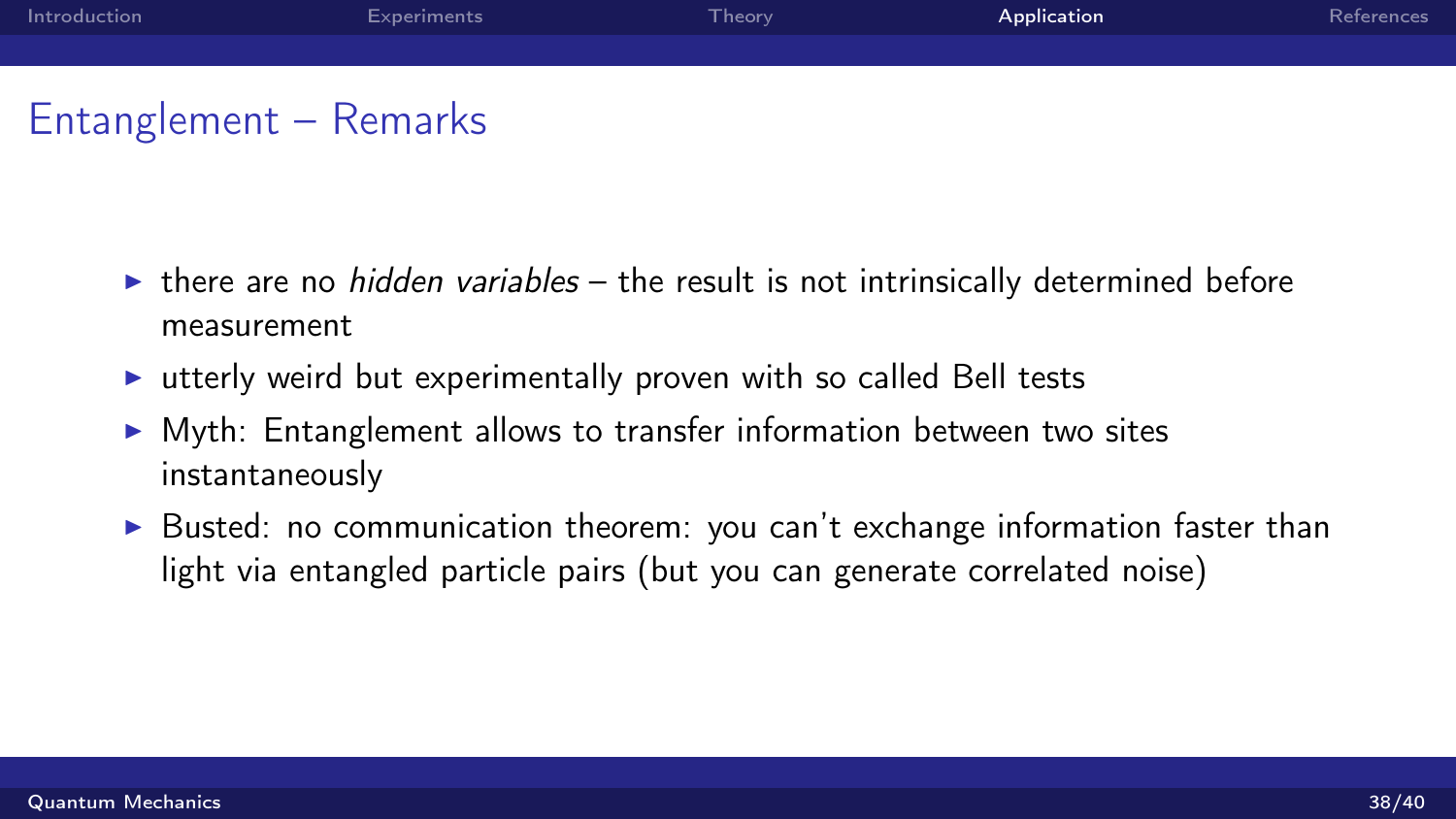| Introduction | Experiments | Theory <sup>1</sup> | Application | References |
|--------------|-------------|---------------------|-------------|------------|
|              |             |                     |             |            |
|              |             |                     |             |            |

## Entanglement – Remarks

- $\triangleright$  there are no *hidden variables* the result is not intrinsically determined before measurement
- $\triangleright$  utterly weird but experimentally proven with so called Bell tests
- $\triangleright$  Myth: Entanglement allows to transfer information between two sites instantaneously
- $\triangleright$  Busted: no communication theorem: you can't exchange information faster than light via entangled particle pairs (but you can generate correlated noise)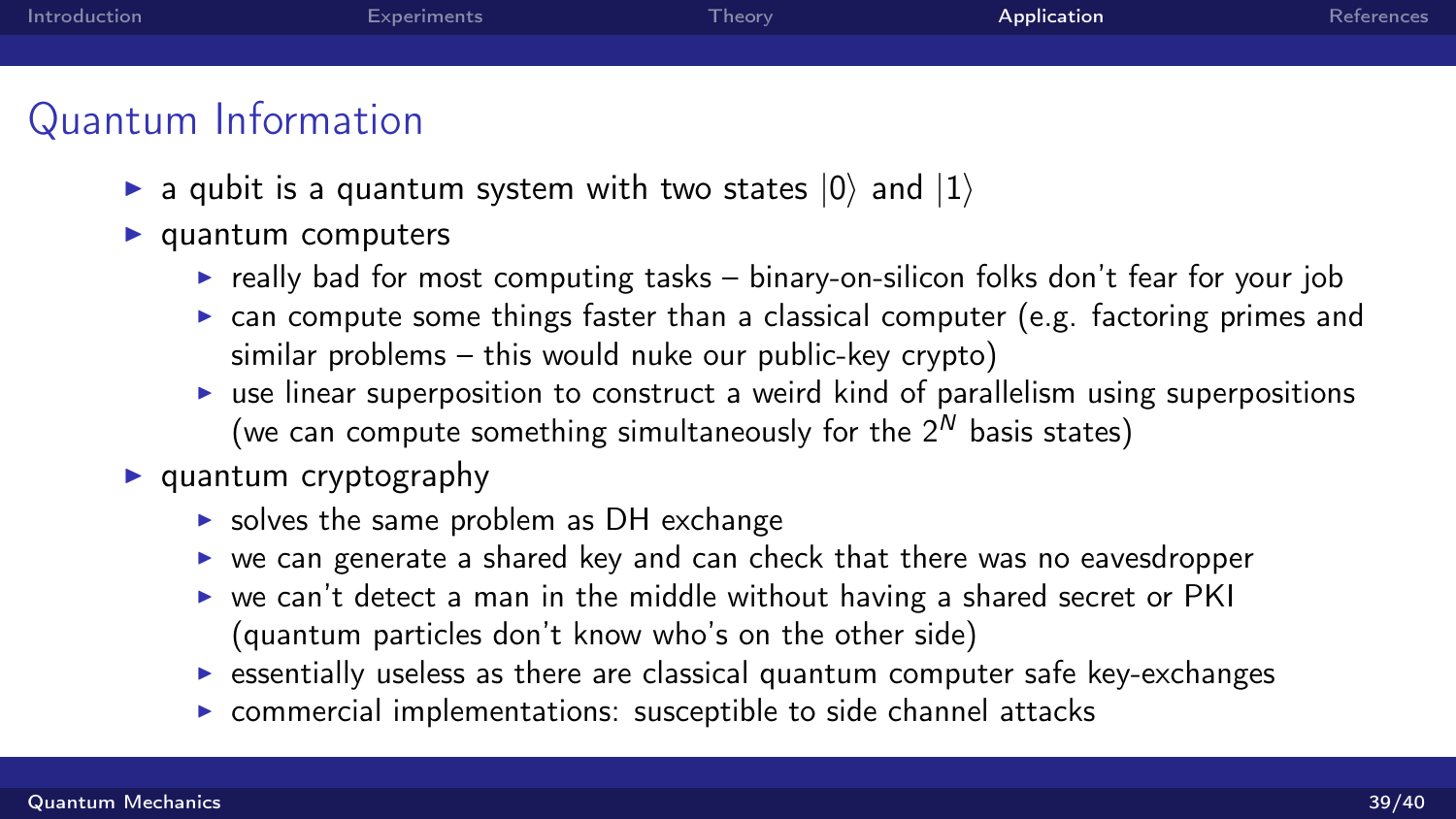| Introduction | Experiments | Theory | Application | References |
|--------------|-------------|--------|-------------|------------|
|              |             |        |             |            |
|              |             |        |             |            |

# Quantum Information

- **a** qubit is a quantum system with two states  $|0\rangle$  and  $|1\rangle$
- $\blacktriangleright$  quantum computers
	- $\triangleright$  really bad for most computing tasks binary-on-silicon folks don't fear for your job
	- $\triangleright$  can compute some things faster than a classical computer (e.g. factoring primes and similar problems – this would nuke our public-key crypto)
	- $\triangleright$  use linear superposition to construct a weird kind of parallelism using superpositions (we can compute something simultaneously for the  $2^N$  basis states)
- $\blacktriangleright$  quantum cryptography
	- $\triangleright$  solves the same problem as DH exchange
	- $\triangleright$  we can generate a shared key and can check that there was no eavesdropper
	- $\triangleright$  we can't detect a man in the middle without having a shared secret or PKI (quantum particles don't know who's on the other side)
	- $\triangleright$  essentially useless as there are classical quantum computer safe key-exchanges
	- $\triangleright$  commercial implementations: susceptible to side channel attacks